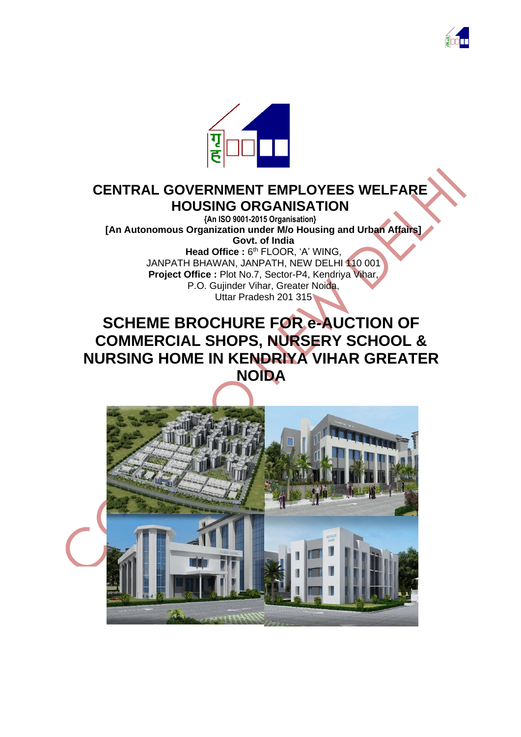



# **CENTRAL GOVERNMENT EMPLOYEES WELFARE HOUSING ORGANISATION**

**{An ISO 9001-2015 Organisation} [An Autonomous Organization under M/o Housing and Urban Affairs] Govt. of India** Head Office: 6<sup>th</sup> FLOOR, 'A' WING, JANPATH BHAWAN, JANPATH, NEW DELHI 110 001 **Project Office :** Plot No.7, Sector-P4, Kendriya Vihar,

P.O. Gujinder Vihar, Greater Noida, Uttar Pradesh 201 315

# **SCHEME BROCHURE FOR e-AUCTION OF COMMERCIAL SHOPS, NURSERY SCHOOL & NURSING HOME IN KENDRIYA VIHAR GREATER NOIDA**

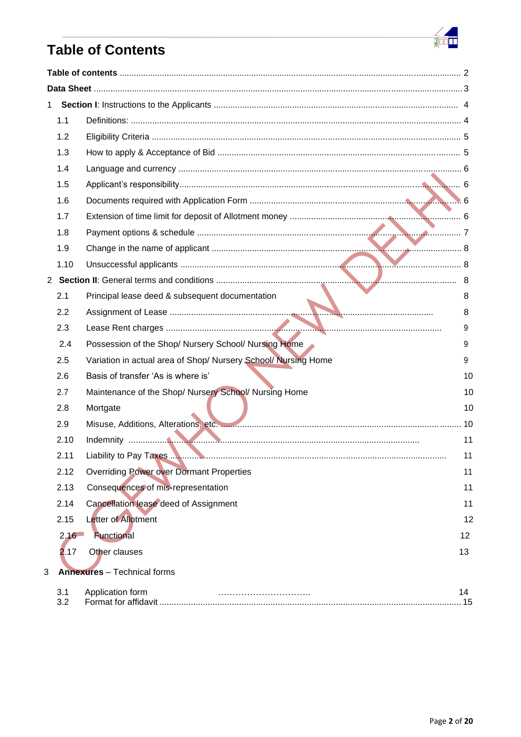

# **Table of Contents**

| 1 |      |                                                                |     |
|---|------|----------------------------------------------------------------|-----|
|   | 1.1  |                                                                |     |
|   | 1.2  |                                                                |     |
|   | 1.3  |                                                                |     |
|   | 1.4  |                                                                |     |
|   | 1.5  |                                                                |     |
|   | 1.6  |                                                                |     |
|   | 1.7  |                                                                |     |
|   | 1.8  |                                                                |     |
|   | 1.9  |                                                                |     |
|   | 1.10 |                                                                |     |
|   |      |                                                                |     |
|   | 2.1  | Principal lease deed & subsequent documentation                | 8   |
|   | 2.2  |                                                                | 8   |
|   | 2.3  |                                                                | 9   |
|   | 2.4  | Possession of the Shop/ Nursery School/ Nursing Home           | 9   |
|   | 2.5  | Variation in actual area of Shop/ Nursery School/ Nursing Home | 9   |
|   | 2.6  | Basis of transfer 'As is where is'                             | 10  |
|   | 2.7  | Maintenance of the Shop/ Nursery School/ Nursing Home          | 10  |
|   | 2.8  | Mortgate                                                       | 10  |
|   | 2.9  |                                                                |     |
|   | 2.10 |                                                                | 11  |
|   | 2.11 | Liability to Pay Taxes                                         | 11  |
|   | 2.12 | <b>Overriding Power over Dormant Properties</b>                | 11  |
|   | 2.13 | Consequences of mis-representation                             | 11  |
|   | 2.14 | Cancellation lease deed of Assignment                          | 11  |
|   | 2.15 | Letter of Allotment                                            | 12  |
|   | 2,16 | Functional                                                     | 12  |
|   | 2.17 | Other clauses                                                  | 13  |
| 3 |      | <b>Annexures</b> - Technical forms                             |     |
|   | 3.1  | Application form                                               | 14  |
|   | 3.2  |                                                                | .15 |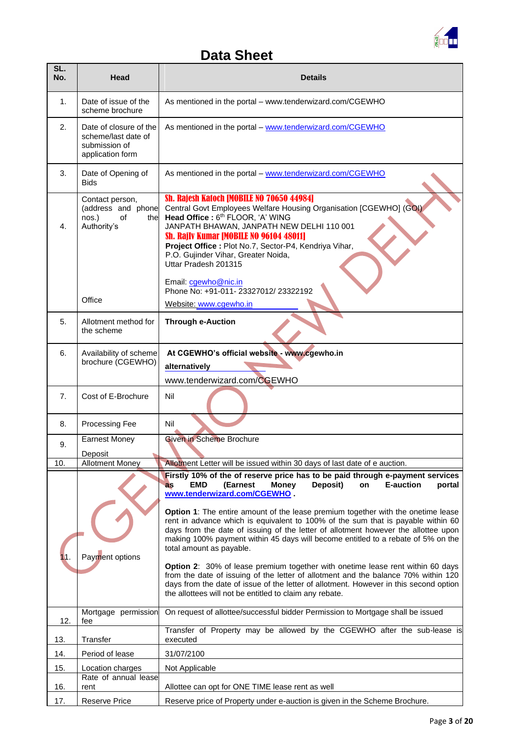

# **Data Sheet**

| SL.<br>No. | Head                                                                               | <b>Details</b>                                                                                                                                                                                                                                                                                                                                                                                                                                                                                                                                                                                                                                                                                                                                                                                                                                                                                                                 |
|------------|------------------------------------------------------------------------------------|--------------------------------------------------------------------------------------------------------------------------------------------------------------------------------------------------------------------------------------------------------------------------------------------------------------------------------------------------------------------------------------------------------------------------------------------------------------------------------------------------------------------------------------------------------------------------------------------------------------------------------------------------------------------------------------------------------------------------------------------------------------------------------------------------------------------------------------------------------------------------------------------------------------------------------|
| 1.         | Date of issue of the<br>scheme brochure                                            | As mentioned in the portal – www.tenderwizard.com/CGEWHO                                                                                                                                                                                                                                                                                                                                                                                                                                                                                                                                                                                                                                                                                                                                                                                                                                                                       |
| 2.         | Date of closure of the<br>scheme/last date of<br>submission of<br>application form | As mentioned in the portal - www.tenderwizard.com/CGEWHO                                                                                                                                                                                                                                                                                                                                                                                                                                                                                                                                                                                                                                                                                                                                                                                                                                                                       |
| 3.         | Date of Opening of<br><b>Bids</b>                                                  | As mentioned in the portal - www.tenderwizard.com/CGEWHO                                                                                                                                                                                                                                                                                                                                                                                                                                                                                                                                                                                                                                                                                                                                                                                                                                                                       |
| 4.         | Contact person,<br>(address and phone<br>nos.)<br>of<br>the<br>Authority's         | Sh. Rajesh Katoch [MOBILE NO 70650 44984]<br>Central Govt Employees Welfare Housing Organisation [CGEWHO] (GOI)<br>Head Office: 6 <sup>th</sup> FLOOR, 'A' WING<br>JANPATH BHAWAN, JANPATH NEW DELHI 110 001<br>Sh. Rajiv Kumar [MOBILE NO 96104 48011]<br>Project Office : Plot No.7, Sector-P4, Kendriya Vihar,<br>P.O. Gujinder Vihar, Greater Noida,<br>Uttar Pradesh 201315                                                                                                                                                                                                                                                                                                                                                                                                                                                                                                                                               |
|            | Office                                                                             | Email: cgewho@nic.in<br>Phone No: +91-011-23327012/23322192<br>Website: www.cgewho.in                                                                                                                                                                                                                                                                                                                                                                                                                                                                                                                                                                                                                                                                                                                                                                                                                                          |
| 5.         | Allotment method for<br>the scheme                                                 | <b>Through e-Auction</b>                                                                                                                                                                                                                                                                                                                                                                                                                                                                                                                                                                                                                                                                                                                                                                                                                                                                                                       |
| 6.         | Availability of scheme<br>brochure (CGEWHO)                                        | At CGEWHO's official website - www.cgewho.in<br>alternatively<br>www.tenderwizard.com/CGEWHO                                                                                                                                                                                                                                                                                                                                                                                                                                                                                                                                                                                                                                                                                                                                                                                                                                   |
| 7.         | Cost of E-Brochure                                                                 | Nil                                                                                                                                                                                                                                                                                                                                                                                                                                                                                                                                                                                                                                                                                                                                                                                                                                                                                                                            |
| 8.         | Processing Fee                                                                     | Nil                                                                                                                                                                                                                                                                                                                                                                                                                                                                                                                                                                                                                                                                                                                                                                                                                                                                                                                            |
| 9.         | <b>Earnest Money</b>                                                               | <b>Given in Scheme Brochure</b>                                                                                                                                                                                                                                                                                                                                                                                                                                                                                                                                                                                                                                                                                                                                                                                                                                                                                                |
| 10.        | Deposit<br><b>Allotment Money</b>                                                  | Allotment Letter will be issued within 30 days of last date of e auction.                                                                                                                                                                                                                                                                                                                                                                                                                                                                                                                                                                                                                                                                                                                                                                                                                                                      |
|            | Payment options                                                                    | Firstly 10% of the of reserve price has to be paid through e-payment services<br>(Earnest<br>Deposit)<br><b>E-auction</b><br>portal<br><b>EMD</b><br><b>Money</b><br>on<br><b>as</b><br>www.tenderwizard.com/CGEWHO.<br>Option 1: The entire amount of the lease premium together with the onetime lease<br>rent in advance which is equivalent to 100% of the sum that is payable within 60<br>days from the date of issuing of the letter of allotment however the allottee upon<br>making 100% payment within 45 days will become entitled to a rebate of 5% on the<br>total amount as payable.<br>Option 2: 30% of lease premium together with onetime lease rent within 60 days<br>from the date of issuing of the letter of allotment and the balance 70% within 120<br>days from the date of issue of the letter of allotment. However in this second option<br>the allottees will not be entitled to claim any rebate. |
| 12.        | Mortgage permission<br>fee                                                         | On request of allottee/successful bidder Permission to Mortgage shall be issued<br>Transfer of Property may be allowed by the CGEWHO after the sub-lease is                                                                                                                                                                                                                                                                                                                                                                                                                                                                                                                                                                                                                                                                                                                                                                    |
| 13.        | Transfer                                                                           | executed                                                                                                                                                                                                                                                                                                                                                                                                                                                                                                                                                                                                                                                                                                                                                                                                                                                                                                                       |
| 14.        | Period of lease                                                                    | 31/07/2100                                                                                                                                                                                                                                                                                                                                                                                                                                                                                                                                                                                                                                                                                                                                                                                                                                                                                                                     |
| 15.        | Location charges<br>Rate of annual lease                                           | Not Applicable                                                                                                                                                                                                                                                                                                                                                                                                                                                                                                                                                                                                                                                                                                                                                                                                                                                                                                                 |
| 16.        | rent                                                                               | Allottee can opt for ONE TIME lease rent as well                                                                                                                                                                                                                                                                                                                                                                                                                                                                                                                                                                                                                                                                                                                                                                                                                                                                               |
| 17.        | <b>Reserve Price</b>                                                               | Reserve price of Property under e-auction is given in the Scheme Brochure.                                                                                                                                                                                                                                                                                                                                                                                                                                                                                                                                                                                                                                                                                                                                                                                                                                                     |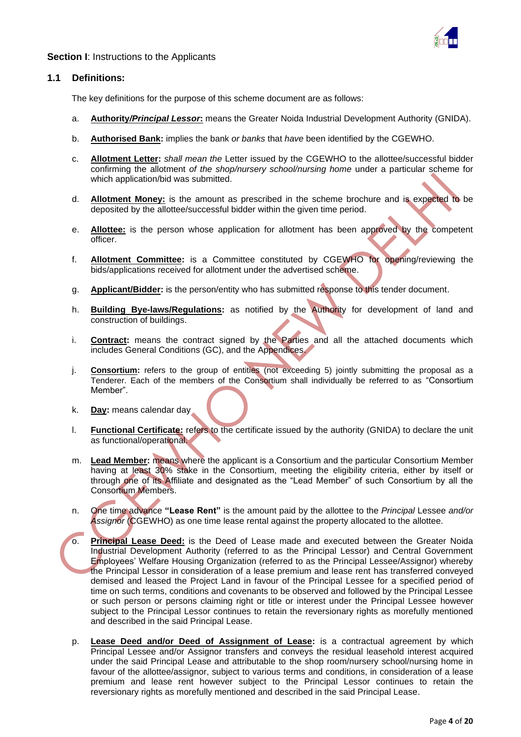

#### **Section I:** Instructions to the Applicants

#### **1.1 Definitions:**

The key definitions for the purpose of this scheme document are as follows:

- a. **Authority***/Principal Lessor***:** means the Greater Noida Industrial Development Authority (GNIDA).
- b. **Authorised Bank:** implies the bank *or banks* that *have* been identified by the CGEWHO.
- c. **Allotment Letter:** *shall mean the* Letter issued by the CGEWHO to the allottee/successful bidder confirming the allotment *of the shop/nursery school/nursing home* under a particular scheme for which application/bid was submitted.
- d. **Allotment Money:** is the amount as prescribed in the scheme brochure and is expected to be deposited by the allottee/successful bidder within the given time period.
- e. **Allottee:** is the person whose application for allotment has been approved by the competent officer.
- f. **Allotment Committee:** is a Committee constituted by CGEWHO for opening/reviewing the bids/applications received for allotment under the advertised scheme.
- g. **Applicant/Bidder:** is the person/entity who has submitted response to this tender document.
- h. **Building Bye-laws/Regulations:** as notified by the Authority for development of land and construction of buildings.
- i. **Contract:** means the contract signed by the Parties and all the attached documents which includes General Conditions (GC), and the Appendices.
- j. **Consortium:** refers to the group of entities (not exceeding 5) jointly submitting the proposal as a Tenderer. Each of the members of the Consortium shall individually be referred to as "Consortium Member".
- k. **Day:** means calendar day
- l. **Functional Certificate:** refers to the certificate issued by the authority (GNIDA) to declare the unit as functional/operational.
- m. **Lead Member:** means where the applicant is a Consortium and the particular Consortium Member having at least 30% stake in the Consortium, meeting the eligibility criteria, either by itself or through one of its Affiliate and designated as the "Lead Member" of such Consortium by all the Consortium Members.
- n. One time advance **"Lease Rent"** is the amount paid by the allottee to the *Principal* Lessee *and/or Assignor* (CGEWHO) as one time lease rental against the property allocated to the allottee.
- o. **Principal Lease Deed:** is the Deed of Lease made and executed between the Greater Noida Industrial Development Authority (referred to as the Principal Lessor) and Central Government Employees' Welfare Housing Organization (referred to as the Principal Lessee/Assignor) whereby the Principal Lessor in consideration of a lease premium and lease rent has transferred conveyed demised and leased the Project Land in favour of the Principal Lessee for a specified period of time on such terms, conditions and covenants to be observed and followed by the Principal Lessee or such person or persons claiming right or title or interest under the Principal Lessee however subject to the Principal Lessor continues to retain the reversionary rights as morefully mentioned and described in the said Principal Lease.
	- p. **Lease Deed and/or Deed of Assignment of Lease:** is a contractual agreement by which Principal Lessee and/or Assignor transfers and conveys the residual leasehold interest acquired under the said Principal Lease and attributable to the shop room/nursery school/nursing home in favour of the allottee/assignor, subject to various terms and conditions, in consideration of a lease premium and lease rent however subject to the Principal Lessor continues to retain the reversionary rights as morefully mentioned and described in the said Principal Lease.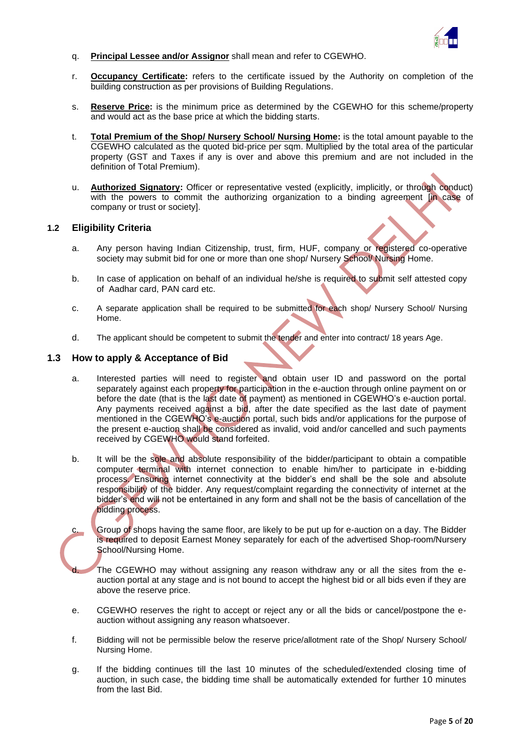

- q. **Principal Lessee and/or Assignor** shall mean and refer to CGEWHO.
- r. **Occupancy Certificate:** refers to the certificate issued by the Authority on completion of the building construction as per provisions of Building Regulations.
- s. **Reserve Price:** is the minimum price as determined by the CGEWHO for this scheme/property and would act as the base price at which the bidding starts.
- t. **Total Premium of the Shop/ Nursery School/ Nursing Home:** is the total amount payable to the CGEWHO calculated as the quoted bid-price per sqm. Multiplied by the total area of the particular property (GST and Taxes if any is over and above this premium and are not included in the definition of Total Premium).
- u. **Authorized Signatory:** Officer or representative vested (explicitly, implicitly, or through conduct) with the powers to commit the authorizing organization to a binding agreement [in case of company or trust or society].

#### **1.2 Eligibility Criteria**

- a. Any person having Indian Citizenship, trust, firm, HUF, company or registered co-operative society may submit bid for one or more than one shop/ Nursery School/ Nursing Home.
- b. In case of application on behalf of an individual he/she is required to submit self attested copy of Aadhar card, PAN card etc.
- c. A separate application shall be required to be submitted for each shop/ Nursery School/ Nursing Home.
- d. The applicant should be competent to submit the tender and enter into contract/ 18 years Age.

#### **1.3 How to apply & Acceptance of Bid**

- a. Interested parties will need to register and obtain user ID and password on the portal separately against each property for participation in the e-auction through online payment on or before the date (that is the last date of payment) as mentioned in CGEWHO's e-auction portal. Any payments received against a bid, after the date specified as the last date of payment mentioned in the CGEWHO's e-auction portal, such bids and/or applications for the purpose of the present e-auction shall be considered as invalid, void and/or cancelled and such payments received by CGEWHO would stand forfeited.
- b. It will be the sole and absolute responsibility of the bidder/participant to obtain a compatible computer terminal with internet connection to enable him/her to participate in e-bidding process. Ensuring internet connectivity at the bidder's end shall be the sole and absolute responsibility of the bidder. Any request/complaint regarding the connectivity of internet at the bidder's end will not be entertained in any form and shall not be the basis of cancellation of the bidding process.

c. Group of shops having the same floor, are likely to be put up for e-auction on a day. The Bidder is required to deposit Earnest Money separately for each of the advertised Shop-room/Nursery School/Nursing Home.

The CGEWHO may without assigning any reason withdraw any or all the sites from the eauction portal at any stage and is not bound to accept the highest bid or all bids even if they are above the reserve price.

- e. CGEWHO reserves the right to accept or reject any or all the bids or cancel/postpone the eauction without assigning any reason whatsoever.
- f. Bidding will not be permissible below the reserve price/allotment rate of the Shop/ Nursery School/ Nursing Home.
- g. If the bidding continues till the last 10 minutes of the scheduled/extended closing time of auction, in such case, the bidding time shall be automatically extended for further 10 minutes from the last Bid.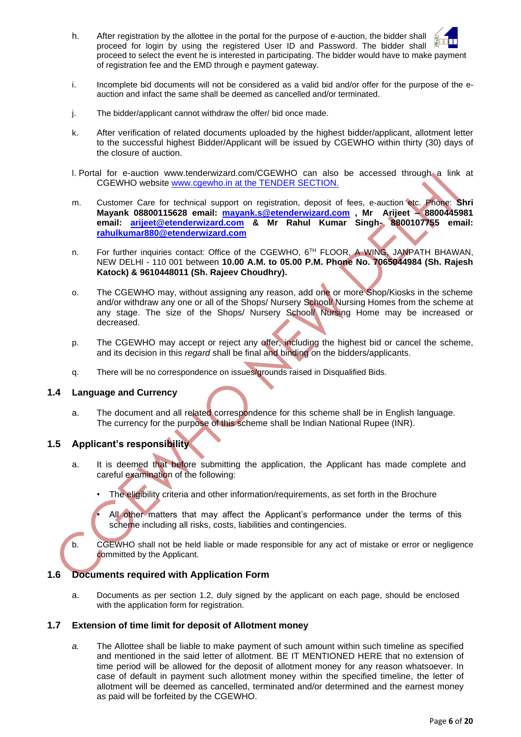- h. After registration by the allottee in the portal for the purpose of e-auction, the bidder shall proceed for login by using the registered User ID and Password. The bidder shall proceed to select the event he is interested in participating. The bidder would have to make payment of registration fee and the EMD through e payment gateway.
- i. Incomplete bid documents will not be considered as a valid bid and/or offer for the purpose of the eauction and infact the same shall be deemed as cancelled and/or terminated.
- j. The bidder/applicant cannot withdraw the offer/ bid once made.
- k. After verification of related documents uploaded by the highest bidder/applicant, allotment letter to the successful highest Bidder/Applicant will be issued by CGEWHO within thirty (30) days of the closure of auction.
- l. Portal for e-auction www.tenderwizard.com/CGEWHO can also be accessed through a link at CGEWHO website [www.cgewho.in](http://www.cgewho.in/) at the TENDER SECTION.
- m. Customer Care for technical support on registration, deposit of fees, e-auction etc. Phone: **Shri Mayank 08800115628 email: [mayank.s@etenderwizard.com](mailto:mayank.s@etenderwizard.com) , Mr Arijeet – 8800445981 email: [arijeet@etenderwizard.com](mailto:arijeet@etenderwizard.com) & Mr Rahul Kumar Singh- 8800107755 email: [rahulkumar880@etenderwizard.com](mailto:rahulkumar880@etenderwizard.com)**
- n. For further inquiries contact: Office of the CGEWHO, 6<sup>TH</sup> FLOOR, A WING, JANPATH BHAWAN, NEW DELHI - 110 001 between **10.00 A.M. to 05.00 P.M. Phone No. 7065044984 (Sh. Rajesh Katock) & 9610448011 (Sh. Rajeev Choudhry).**
- o. The CGEWHO may, without assigning any reason, add one or more Shop/Kiosks in the scheme and/or withdraw any one or all of the Shops/ Nursery School/ Nursing Homes from the scheme at any stage. The size of the Shops/ Nursery School/ Nursing Home may be increased or decreased.
- p. The CGEWHO may accept or reject any offer, including the highest bid or cancel the scheme, and its decision in this *regard* shall be final and binding on the bidders/applicants.
- q. There will be no correspondence on issues/grounds raised in Disqualified Bids.

#### **1.4 Language and Currency**

a. The document and all related correspondence for this scheme shall be in English language. The currency for the purpose of this scheme shall be Indian National Rupee (INR).

#### **1.5 Applicant's responsibility**

- a. It is deemed that before submitting the application, the Applicant has made complete and careful examination of the following:
	- The eligibility criteria and other information/requirements, as set forth in the Brochure

All other matters that may affect the Applicant's performance under the terms of this scheme including all risks, costs, liabilities and contingencies.

b. CGEWHO shall not be held liable or made responsible for any act of mistake or error or negligence committed by the Applicant.

#### **1.6 Documents required with Application Form**

a. Documents as per section 1.2, duly signed by the applicant on each page, should be enclosed with the application form for registration.

#### **1.7 Extension of time limit for deposit of Allotment money**

*a.* The Allottee shall be liable to make payment of such amount within such timeline as specified and mentioned in the said letter of allotment. BE IT MENTIONED HERE that no extension of time period will be allowed for the deposit of allotment money for any reason whatsoever. In case of default in payment such allotment money within the specified timeline, the letter of allotment will be deemed as cancelled, terminated and/or determined and the earnest money as paid will be forfeited by the CGEWHO.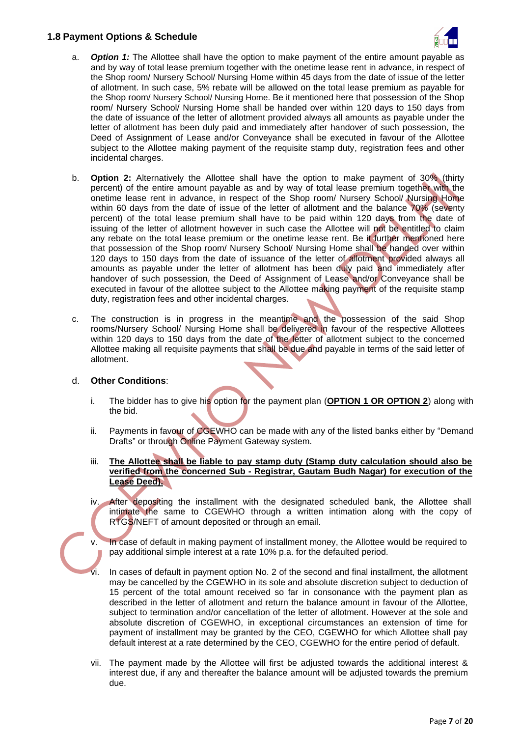### **1.8 Payment Options & Schedule**



- a. *Option 1:* The Allottee shall have the option to make payment of the entire amount payable as and by way of total lease premium together with the onetime lease rent in advance, in respect of the Shop room/ Nursery School/ Nursing Home within 45 days from the date of issue of the letter of allotment. In such case, 5% rebate will be allowed on the total lease premium as payable for the Shop room/ Nursery School/ Nursing Home. Be it mentioned here that possession of the Shop room/ Nursery School/ Nursing Home shall be handed over within 120 days to 150 days from the date of issuance of the letter of allotment provided always all amounts as payable under the letter of allotment has been duly paid and immediately after handover of such possession, the Deed of Assignment of Lease and/or Conveyance shall be executed in favour of the Allottee subject to the Allottee making payment of the requisite stamp duty, registration fees and other incidental charges.
- b. **Option 2:** Alternatively the Allottee shall have the option to make payment of 30% (thirty percent) of the entire amount payable as and by way of total lease premium together with the onetime lease rent in advance, in respect of the Shop room/ Nursery School/ Nursing Home within 60 days from the date of issue of the letter of allotment and the balance 70% (seventy percent) of the total lease premium shall have to be paid within 120 days from the date of issuing of the letter of allotment however in such case the Allottee will not be entitled to claim any rebate on the total lease premium or the onetime lease rent. Be it further mentioned here that possession of the Shop room/ Nursery School/ Nursing Home shall be handed over within 120 days to 150 days from the date of issuance of the letter of allotment provided always all amounts as payable under the letter of allotment has been duly paid and immediately after handover of such possession, the Deed of Assignment of Lease and/or Conveyance shall be executed in favour of the allottee subject to the Allottee making payment of the requisite stamp duty, registration fees and other incidental charges.
- c. The construction is in progress in the meantime and the possession of the said Shop rooms/Nursery School/ Nursing Home shall be delivered in favour of the respective Allottees within 120 days to 150 days from the date of the letter of allotment subject to the concerned Allottee making all requisite payments that shall be due and payable in terms of the said letter of allotment.

#### d. **Other Conditions**:

- i. The bidder has to give his option for the payment plan (**OPTION 1 OR OPTION 2**) along with the bid.
- ii. Payments in favour of CGEWHO can be made with any of the listed banks either by "Demand Drafts" or through Online Payment Gateway system.
- iii. **The Allottee shall be liable to pay stamp duty (Stamp duty calculation should also be verified from the concerned Sub - Registrar, Gautam Budh Nagar) for execution of the Lease Deed).**
- iv. After depositing the installment with the designated scheduled bank, the Allottee shall intimate the same to CGEWHO through a written intimation along with the copy of RTGS/NEFT of amount deposited or through an email.
- v. In case of default in making payment of installment money, the Allottee would be required to pay additional simple interest at a rate 10% p.a. for the defaulted period.
	- In cases of default in payment option No. 2 of the second and final installment, the allotment may be cancelled by the CGEWHO in its sole and absolute discretion subject to deduction of 15 percent of the total amount received so far in consonance with the payment plan as described in the letter of allotment and return the balance amount in favour of the Allottee, subject to termination and/or cancellation of the letter of allotment. However at the sole and absolute discretion of CGEWHO, in exceptional circumstances an extension of time for payment of installment may be granted by the CEO, CGEWHO for which Allottee shall pay default interest at a rate determined by the CEO, CGEWHO for the entire period of default.
- vii. The payment made by the Allottee will first be adjusted towards the additional interest & interest due, if any and thereafter the balance amount will be adjusted towards the premium due.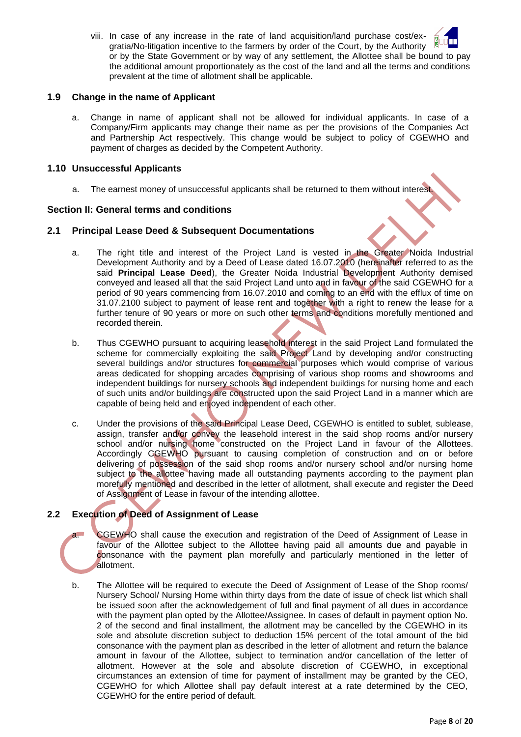viii. In case of any increase in the rate of land acquisition/land purchase cost/exgratia/No-litigation incentive to the farmers by order of the Court, by the Authority or by the State Government or by way of any settlement, the Allottee shall be bound to pay the additional amount proportionately as the cost of the land and all the terms and conditions prevalent at the time of allotment shall be applicable.

#### **1.9 Change in the name of Applicant**

a. Change in name of applicant shall not be allowed for individual applicants. In case of a Company/Firm applicants may change their name as per the provisions of the Companies Act and Partnership Act respectively. This change would be subject to policy of CGEWHO and payment of charges as decided by the Competent Authority.

### **1.10 Unsuccessful Applicants**

a. The earnest money of unsuccessful applicants shall be returned to them without interest.

## **Section II: General terms and conditions**

### **2.1 Principal Lease Deed & Subsequent Documentations**

- a. The right title and interest of the Project Land is vested in the Greater Noida Industrial Development Authority and by a Deed of Lease dated 16.07.2010 (hereinafter referred to as the said **Principal Lease Deed**), the Greater Noida Industrial Development Authority demised conveyed and leased all that the said Project Land unto and in favour of the said CGEWHO for a period of 90 years commencing from 16.07.2010 and coming to an end with the efflux of time on 31.07.2100 subject to payment of lease rent and together with a right to renew the lease for a further tenure of 90 years or more on such other terms and conditions morefully mentioned and recorded therein.
- b. Thus CGEWHO pursuant to acquiring leasehold interest in the said Project Land formulated the scheme for commercially exploiting the said Project Land by developing and/or constructing several buildings and/or structures for commercial purposes which would comprise of various areas dedicated for shopping arcades comprising of various shop rooms and showrooms and independent buildings for nursery schools and independent buildings for nursing home and each of such units and/or buildings are constructed upon the said Project Land in a manner which are capable of being held and enjoyed independent of each other.
- c. Under the provisions of the said Principal Lease Deed, CGEWHO is entitled to sublet, sublease, assign, transfer and/or convey the leasehold interest in the said shop rooms and/or nursery school and/or nursing home constructed on the Project Land in favour of the Allottees. Accordingly CGEWHO pursuant to causing completion of construction and on or before delivering of possession of the said shop rooms and/or nursery school and/or nursing home subject to the allottee having made all outstanding payments according to the payment plan morefully mentioned and described in the letter of allotment, shall execute and register the Deed of Assignment of Lease in favour of the intending allottee.

# **2.2 Execution of Deed of Assignment of Lease**

- CGEWHO shall cause the execution and registration of the Deed of Assignment of Lease in favour of the Allottee subject to the Allottee having paid all amounts due and payable in consonance with the payment plan morefully and particularly mentioned in the letter of allotment.
- b. The Allottee will be required to execute the Deed of Assignment of Lease of the Shop rooms/ Nursery School/ Nursing Home within thirty days from the date of issue of check list which shall be issued soon after the acknowledgement of full and final payment of all dues in accordance with the payment plan opted by the Allottee/Assignee. In cases of default in payment option No. 2 of the second and final installment, the allotment may be cancelled by the CGEWHO in its sole and absolute discretion subject to deduction 15% percent of the total amount of the bid consonance with the payment plan as described in the letter of allotment and return the balance amount in favour of the Allottee, subject to termination and/or cancellation of the letter of allotment. However at the sole and absolute discretion of CGEWHO, in exceptional circumstances an extension of time for payment of installment may be granted by the CEO, CGEWHO for which Allottee shall pay default interest at a rate determined by the CEO, CGEWHO for the entire period of default.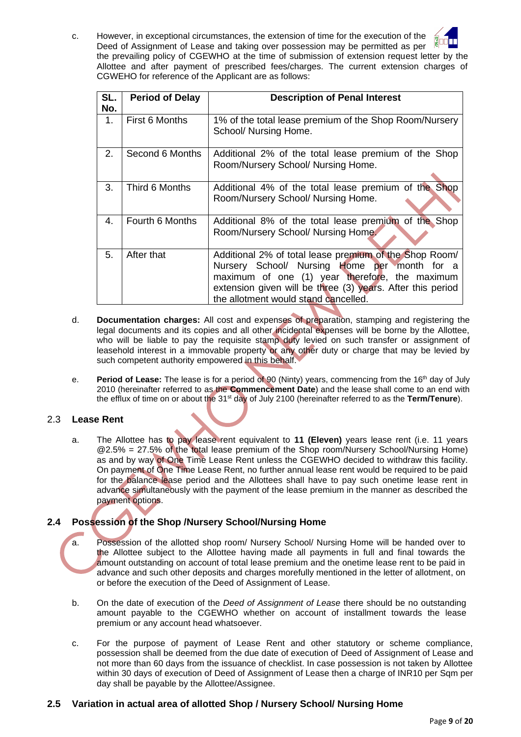c. However, in exceptional circumstances, the extension of time for the execution of the Deed of Assignment of Lease and taking over possession may be permitted as per the prevailing policy of CGEWHO at the time of submission of extension request letter by the Allottee and after payment of prescribed fees/charges. The current extension charges of CGWEHO for reference of the Applicant are as follows:

| SL.<br>No. | <b>Period of Delay</b> | <b>Description of Penal Interest</b>                                                                                                                                                                                                                           |
|------------|------------------------|----------------------------------------------------------------------------------------------------------------------------------------------------------------------------------------------------------------------------------------------------------------|
| 1.         | First 6 Months         | 1% of the total lease premium of the Shop Room/Nursery<br>School/ Nursing Home.                                                                                                                                                                                |
| 2.         | Second 6 Months        | Additional 2% of the total lease premium of the Shop<br>Room/Nursery School/ Nursing Home.                                                                                                                                                                     |
| 3.         | Third 6 Months         | Additional 4% of the total lease premium of the Shop<br>Room/Nursery School/ Nursing Home.                                                                                                                                                                     |
| 4.         | Fourth 6 Months        | Additional 8% of the total lease premium of the Shop<br>Room/Nursery School/ Nursing Home.                                                                                                                                                                     |
| 5.         | After that             | Additional 2% of total lease premium of the Shop Room/<br>Nursery School/ Nursing Home per month for a<br>maximum of one (1) year therefore, the maximum<br>extension given will be three (3) years. After this period<br>the allotment would stand cancelled. |

- d. **Documentation charges:** All cost and expenses of preparation, stamping and registering the legal documents and its copies and all other incidental expenses will be borne by the Allottee, who will be liable to pay the requisite stamp duty levied on such transfer or assignment of leasehold interest in a immovable property or any other duty or charge that may be levied by such competent authority empowered in this behalf.
- e. **Period of Lease:** The lease is for a period of 90 (Ninty) years, commencing from the 16<sup>th</sup> day of July 2010 (hereinafter referred to as the **Commencement Date**) and the lease shall come to an end with the efflux of time on or about the 31st day of July 2100 (hereinafter referred to as the **Term/Tenure**).

## 2.3 **Lease Rent**

a. The Allottee has to pay lease rent equivalent to **11 (Eleven)** years lease rent (i.e. 11 years @2.5% = 27.5% of the total lease premium of the Shop room/Nursery School/Nursing Home) as and by way of One Time Lease Rent unless the CGEWHO decided to withdraw this facility. On payment of One Time Lease Rent, no further annual lease rent would be required to be paid for the balance lease period and the Allottees shall have to pay such onetime lease rent in advance simultaneously with the payment of the lease premium in the manner as described the payment options.

# **2.4 Possession of the Shop /Nursery School/Nursing Home**

- Possession of the allotted shop room/ Nursery School/ Nursing Home will be handed over to the Allottee subject to the Allottee having made all payments in full and final towards the amount outstanding on account of total lease premium and the onetime lease rent to be paid in advance and such other deposits and charges morefully mentioned in the letter of allotment, on or before the execution of the Deed of Assignment of Lease.
- b. On the date of execution of the *Deed of Assignment of Lease* there should be no outstanding amount payable to the CGEWHO whether on account of installment towards the lease premium or any account head whatsoever.
- c. For the purpose of payment of Lease Rent and other statutory or scheme compliance, possession shall be deemed from the due date of execution of Deed of Assignment of Lease and not more than 60 days from the issuance of checklist. In case possession is not taken by Allottee within 30 days of execution of Deed of Assignment of Lease then a charge of INR10 per Sqm per day shall be payable by the Allottee/Assignee.

#### **2.5 Variation in actual area of allotted Shop / Nursery School/ Nursing Home**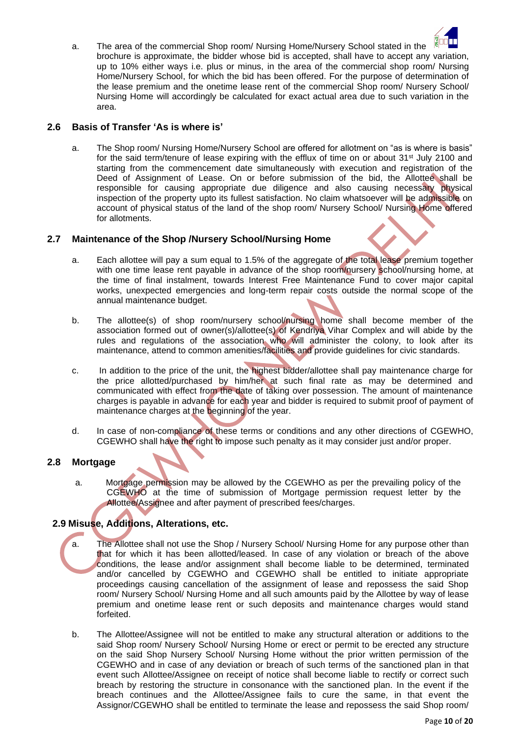

a. The area of the commercial Shop room/ Nursing Home/Nursery School stated in the brochure is approximate, the bidder whose bid is accepted, shall have to accept any variation, up to 10% either ways i.e. plus or minus, in the area of the commercial shop room/ Nursing Home/Nursery School, for which the bid has been offered. For the purpose of determination of the lease premium and the onetime lease rent of the commercial Shop room/ Nursery School/ Nursing Home will accordingly be calculated for exact actual area due to such variation in the area.

## **2.6 Basis of Transfer 'As is where is'**

a. The Shop room/ Nursing Home/Nursery School are offered for allotment on "as is where is basis" for the said term/tenure of lease expiring with the efflux of time on or about 31<sup>st</sup> July 2100 and starting from the commencement date simultaneously with execution and registration of the Deed of Assignment of Lease. On or before submission of the bid, the Allottee shall be responsible for causing appropriate due diligence and also causing necessary physical inspection of the property upto its fullest satisfaction. No claim whatsoever will be admissible on account of physical status of the land of the shop room/ Nursery School/ Nursing Home offered for allotments.

### **2.7 Maintenance of the Shop /Nursery School/Nursing Home**

- a. Each allottee will pay a sum equal to 1.5% of the aggregate of the total lease premium together with one time lease rent payable in advance of the shop room/nursery school/nursing home, at the time of final instalment, towards Interest Free Maintenance Fund to cover major capital works, unexpected emergencies and long-term repair costs outside the normal scope of the annual maintenance budget.
- b. The allottee(s) of shop room/nursery school/nursing home shall become member of the association formed out of owner(s)/allottee(s) of Kendriya Vihar Complex and will abide by the rules and regulations of the association who will administer the colony, to look after its maintenance, attend to common amenities/facilities and provide guidelines for civic standards.
- c. In addition to the price of the unit, the highest bidder/allottee shall pay maintenance charge for the price allotted/purchased by him/her at such final rate as may be determined and communicated with effect from the date of taking over possession. The amount of maintenance charges is payable in advance for each year and bidder is required to submit proof of payment of maintenance charges at the beginning of the year.
- d. In case of non-compliance of these terms or conditions and any other directions of CGEWHO, CGEWHO shall have the right to impose such penalty as it may consider just and/or proper.

#### **2.8 Mortgage**

a. Mortgage permission may be allowed by the CGEWHO as per the prevailing policy of the CGEWHO at the time of submission of Mortgage permission request letter by the Allottee/Assignee and after payment of prescribed fees/charges.

# **2.9 Misuse, Additions, Alterations, etc.**

- a. The Allottee shall not use the Shop / Nursery School/ Nursing Home for any purpose other than that for which it has been allotted/leased. In case of any violation or breach of the above conditions, the lease and/or assignment shall become liable to be determined, terminated and/or cancelled by CGEWHO and CGEWHO shall be entitled to initiate appropriate proceedings causing cancellation of the assignment of lease and repossess the said Shop room/ Nursery School/ Nursing Home and all such amounts paid by the Allottee by way of lease premium and onetime lease rent or such deposits and maintenance charges would stand forfeited.
- b. The Allottee/Assignee will not be entitled to make any structural alteration or additions to the said Shop room/ Nursery School/ Nursing Home or erect or permit to be erected any structure on the said Shop Nursery School/ Nursing Home without the prior written permission of the CGEWHO and in case of any deviation or breach of such terms of the sanctioned plan in that event such Allottee/Assignee on receipt of notice shall become liable to rectify or correct such breach by restoring the structure in consonance with the sanctioned plan. In the event if the breach continues and the Allottee/Assignee fails to cure the same, in that event the Assignor/CGEWHO shall be entitled to terminate the lease and repossess the said Shop room/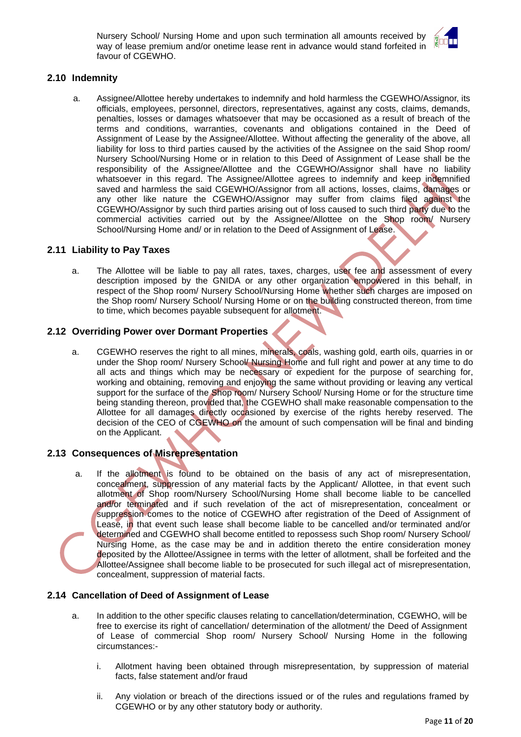Nursery School/ Nursing Home and upon such termination all amounts received by way of lease premium and/or onetime lease rent in advance would stand forfeited in favour of CGEWHO.



#### **2.10 Indemnity**

a. Assignee/Allottee hereby undertakes to indemnify and hold harmless the CGEWHO/Assignor, its officials, employees, personnel, directors, representatives, against any costs, claims, demands, penalties, losses or damages whatsoever that may be occasioned as a result of breach of the terms and conditions, warranties, covenants and obligations contained in the Deed of Assignment of Lease by the Assignee/Allottee. Without affecting the generality of the above, all liability for loss to third parties caused by the activities of the Assignee on the said Shop room/ Nursery School/Nursing Home or in relation to this Deed of Assignment of Lease shall be the responsibility of the Assignee/Allottee and the CGEWHO/Assignor shall have no liability whatsoever in this regard. The Assignee/Allottee agrees to indemnify and keep indemnified saved and harmless the said CGEWHO/Assignor from all actions, losses, claims, damages or any other like nature the CGEWHO/Assignor may suffer from claims filed against the CGEWHO/Assignor by such third parties arising out of loss caused to such third party due to the commercial activities carried out by the Assignee/Allottee on the Shop room/ Nursery School/Nursing Home and/ or in relation to the Deed of Assignment of Lease.

### **2.11 Liability to Pay Taxes**

a. The Allottee will be liable to pay all rates, taxes, charges, user fee and assessment of every description imposed by the GNIDA or any other organization empowered in this behalf, in respect of the Shop room/ Nursery School/Nursing Home whether such charges are imposed on the Shop room/ Nursery School/ Nursing Home or on the building constructed thereon, from time to time, which becomes payable subsequent for allotment.

### **2.12 Overriding Power over Dormant Properties**

a. CGEWHO reserves the right to all mines, minerals, coals, washing gold, earth oils, quarries in or under the Shop room/ Nursery School/ Nursing Home and full right and power at any time to do all acts and things which may be necessary or expedient for the purpose of searching for, working and obtaining, removing and enjoying the same without providing or leaving any vertical support for the surface of the Shop room/ Nursery School/ Nursing Home or for the structure time being standing thereon, provided that, the CGEWHO shall make reasonable compensation to the Allottee for all damages directly occasioned by exercise of the rights hereby reserved. The decision of the CEO of CGEWHO on the amount of such compensation will be final and binding on the Applicant.

#### **2.13 Consequences of Misrepresentation**

a. If the allotment is found to be obtained on the basis of any act of misrepresentation, concealment, suppression of any material facts by the Applicant/ Allottee, in that event such allotment of Shop room/Nursery School/Nursing Home shall become liable to be cancelled and/or terminated and if such revelation of the act of misrepresentation, concealment or suppression comes to the notice of CGEWHO after registration of the Deed of Assignment of Lease, in that event such lease shall become liable to be cancelled and/or terminated and/or determined and CGEWHO shall become entitled to repossess such Shop room/ Nursery School/ Nursing Home, as the case may be and in addition thereto the entire consideration money deposited by the Allottee/Assignee in terms with the letter of allotment, shall be forfeited and the Allottee/Assignee shall become liable to be prosecuted for such illegal act of misrepresentation, concealment, suppression of material facts.

#### **2.14 Cancellation of Deed of Assignment of Lease**

- a. In addition to the other specific clauses relating to cancellation/determination, CGEWHO, will be free to exercise its right of cancellation/ determination of the allotment/ the Deed of Assignment of Lease of commercial Shop room/ Nursery School/ Nursing Home in the following circumstances:
	- i. Allotment having been obtained through misrepresentation, by suppression of material facts, false statement and/or fraud
	- ii. Any violation or breach of the directions issued or of the rules and regulations framed by CGEWHO or by any other statutory body or authority.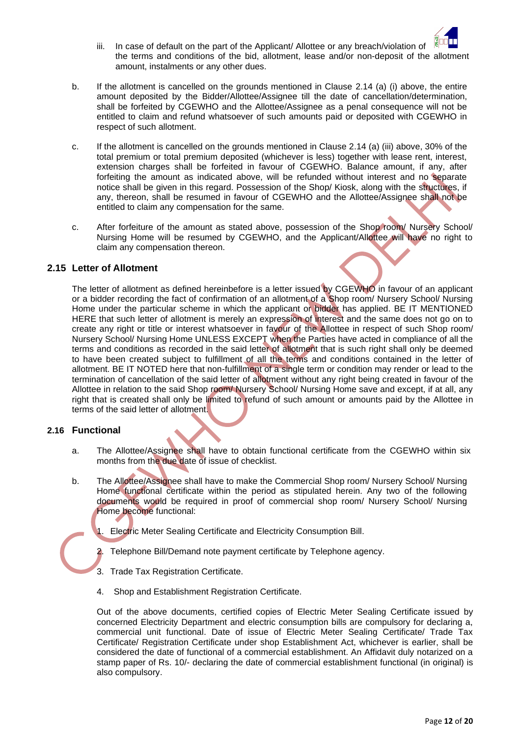

- iii. In case of default on the part of the Applicant/ Allottee or any breach/violation of the terms and conditions of the bid, allotment, lease and/or non-deposit of the allotment amount, instalments or any other dues.
- b. If the allotment is cancelled on the grounds mentioned in Clause 2.14 (a) (i) above, the entire amount deposited by the Bidder/Allottee/Assignee till the date of cancellation/determination, shall be forfeited by CGEWHO and the Allottee/Assignee as a penal consequence will not be entitled to claim and refund whatsoever of such amounts paid or deposited with CGEWHO in respect of such allotment.
- c. If the allotment is cancelled on the grounds mentioned in Clause 2.14 (a) (iii) above, 30% of the total premium or total premium deposited (whichever is less) together with lease rent, interest, extension charges shall be forfeited in favour of CGEWHO. Balance amount, if any, after forfeiting the amount as indicated above, will be refunded without interest and no separate notice shall be given in this regard. Possession of the Shop/ Kiosk, along with the structures, if any, thereon, shall be resumed in favour of CGEWHO and the Allottee/Assignee shall not be entitled to claim any compensation for the same.
- c. After forfeiture of the amount as stated above, possession of the Shop room/ Nursery School/ Nursing Home will be resumed by CGEWHO, and the Applicant/Allottee will have no right to claim any compensation thereon.

#### **2.15 Letter of Allotment**

The letter of allotment as defined hereinbefore is a letter issued by CGEWHO in favour of an applicant or a bidder recording the fact of confirmation of an allotment of a Shop room/ Nursery School/ Nursing Home under the particular scheme in which the applicant or bidder has applied. BE IT MENTIONED HERE that such letter of allotment is merely an expression of interest and the same does not go on to create any right or title or interest whatsoever in favour of the Allottee in respect of such Shop room/ Nursery School/ Nursing Home UNLESS EXCEPT when the Parties have acted in compliance of all the terms and conditions as recorded in the said letter of allotment that is such right shall only be deemed to have been created subject to fulfillment of all the terms and conditions contained in the letter of allotment. BE IT NOTED here that non-fulfillment of a single term or condition may render or lead to the termination of cancellation of the said letter of allotment without any right being created in favour of the Allottee in relation to the said Shop room/ Nursery School/ Nursing Home save and except, if at all, any right that is created shall only be limited to refund of such amount or amounts paid by the Allottee in terms of the said letter of allotment.

#### **2.16 Functional**

- a. The Allottee/Assignee shall have to obtain functional certificate from the CGEWHO within six months from the due date of issue of checklist.
- b. The Allottee/Assignee shall have to make the Commercial Shop room/ Nursery School/ Nursing Home functional certificate within the period as stipulated herein. Any two of the following documents would be required in proof of commercial shop room/ Nursery School/ Nursing Home become functional:
	- 1. Electric Meter Sealing Certificate and Electricity Consumption Bill.
	- 2. Telephone Bill/Demand note payment certificate by Telephone agency.
	- 3. Trade Tax Registration Certificate.
	- 4. Shop and Establishment Registration Certificate.

Out of the above documents, certified copies of Electric Meter Sealing Certificate issued by concerned Electricity Department and electric consumption bills are compulsory for declaring a, commercial unit functional. Date of issue of Electric Meter Sealing Certificate/ Trade Tax Certificate/ Registration Certificate under shop Establishment Act, whichever is earlier, shall be considered the date of functional of a commercial establishment. An Affidavit duly notarized on a stamp paper of Rs. 10/- declaring the date of commercial establishment functional (in original) is also compulsory.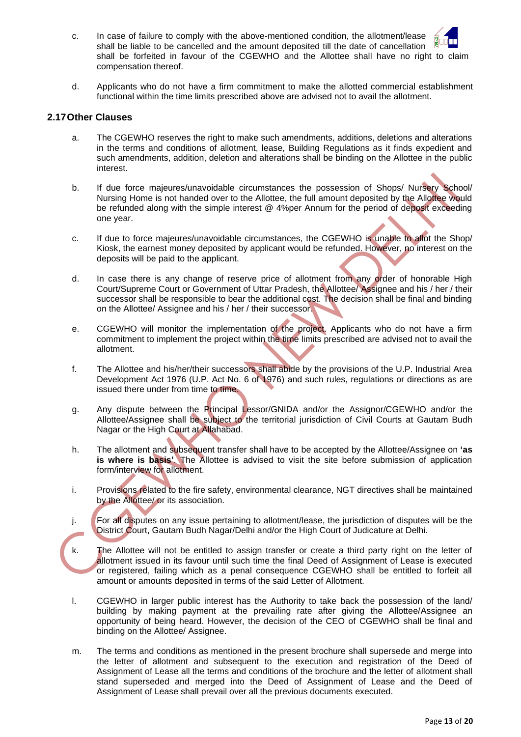- c. In case of failure to comply with the above-mentioned condition, the allotment/lease shall be liable to be cancelled and the amount deposited till the date of cancellation shall be forfeited in favour of the CGEWHO and the Allottee shall have no right to claim compensation thereof.
- d. Applicants who do not have a firm commitment to make the allotted commercial establishment functional within the time limits prescribed above are advised not to avail the allotment.

#### **2.17Other Clauses**

- a. The CGEWHO reserves the right to make such amendments, additions, deletions and alterations in the terms and conditions of allotment, lease, Building Regulations as it finds expedient and such amendments, addition, deletion and alterations shall be binding on the Allottee in the public interest.
- b. If due force majeures/unavoidable circumstances the possession of Shops/ Nursery School/ Nursing Home is not handed over to the Allottee, the full amount deposited by the Allottee would be refunded along with the simple interest @ 4%per Annum for the period of deposit exceeding one year.
- c. If due to force majeures/unavoidable circumstances, the CGEWHO is unable to allot the Shop/ Kiosk, the earnest money deposited by applicant would be refunded. However, no interest on the deposits will be paid to the applicant.
- d. In case there is any change of reserve price of allotment from any order of honorable High Court/Supreme Court or Government of Uttar Pradesh, the Allottee/ Assignee and his / her / their successor shall be responsible to bear the additional cost. The decision shall be final and binding on the Allottee/ Assignee and his / her / their successor.
- e. CGEWHO will monitor the implementation of the project. Applicants who do not have a firm commitment to implement the project within the time limits prescribed are advised not to avail the allotment.
- f. The Allottee and his/her/their successors shall abide by the provisions of the U.P. Industrial Area Development Act 1976 (U.P. Act No. 6 of 1976) and such rules, regulations or directions as are issued there under from time to time.
- g. Any dispute between the Principal Lessor/GNIDA and/or the Assignor/CGEWHO and/or the Allottee/Assignee shall be subject to the territorial jurisdiction of Civil Courts at Gautam Budh Nagar or the High Court at Allahabad.
- h. The allotment and subsequent transfer shall have to be accepted by the Allottee/Assignee on **'as is where is basis'**. The Allottee is advised to visit the site before submission of application form/interview for allotment.
- i. Provisions related to the fire safety, environmental clearance, NGT directives shall be maintained by the Allottee/ or its association.
- j. For all disputes on any issue pertaining to allotment/lease, the jurisdiction of disputes will be the District Court, Gautam Budh Nagar/Delhi and/or the High Court of Judicature at Delhi.
- k. The Allottee will not be entitled to assign transfer or create a third party right on the letter of allotment issued in its favour until such time the final Deed of Assignment of Lease is executed or registered, failing which as a penal consequence CGEWHO shall be entitled to forfeit all amount or amounts deposited in terms of the said Letter of Allotment.
- l. CGEWHO in larger public interest has the Authority to take back the possession of the land/ building by making payment at the prevailing rate after giving the Allottee/Assignee an opportunity of being heard. However, the decision of the CEO of CGEWHO shall be final and binding on the Allottee/ Assignee.
- m. The terms and conditions as mentioned in the present brochure shall supersede and merge into the letter of allotment and subsequent to the execution and registration of the Deed of Assignment of Lease all the terms and conditions of the brochure and the letter of allotment shall stand superseded and merged into the Deed of Assignment of Lease and the Deed of Assignment of Lease shall prevail over all the previous documents executed.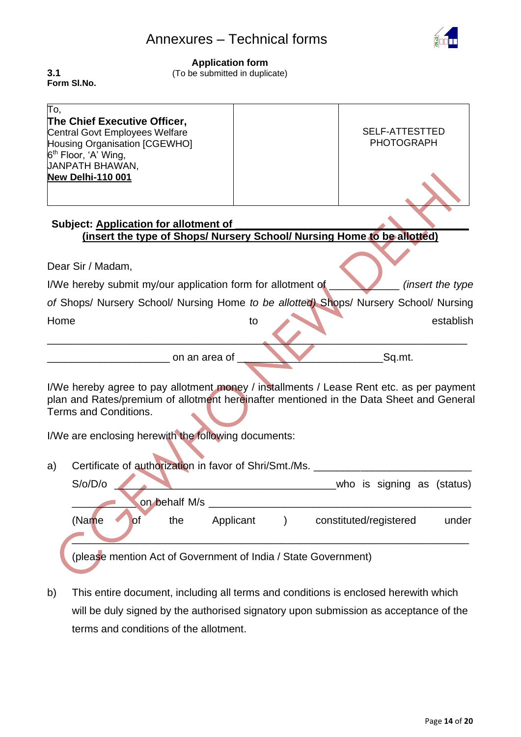# Annexures – Technical forms



#### **Application form**

(To be submitted in duplicate)

**3.1 Form Sl.No.** 

| To,<br>The Chief Executive Officer,<br><b>Central Govt Employees Welfare</b><br>Housing Organisation [CGEWHO]<br>6 <sup>th</sup> Floor, 'A' Wing,<br><b>JANPATH BHAWAN,</b><br>New Delhi-110 001 |                                                      | <b>SELF-ATTESTTED</b><br><b>PHOTOGRAPH</b> |  |  |  |  |  |  |  |  |  |
|--------------------------------------------------------------------------------------------------------------------------------------------------------------------------------------------------|------------------------------------------------------|--------------------------------------------|--|--|--|--|--|--|--|--|--|
|                                                                                                                                                                                                  |                                                      |                                            |  |  |  |  |  |  |  |  |  |
| <b>Subject: Application for allotment of</b><br>(insert the type of Shops/ Nursery School/ Nursing Home to be allotted)                                                                          |                                                      |                                            |  |  |  |  |  |  |  |  |  |
|                                                                                                                                                                                                  |                                                      |                                            |  |  |  |  |  |  |  |  |  |
| Dear Sir / Madam,                                                                                                                                                                                |                                                      |                                            |  |  |  |  |  |  |  |  |  |
| I/We hereby submit my/our application form for allotment of                                                                                                                                      |                                                      | <i>(insert the type)</i>                   |  |  |  |  |  |  |  |  |  |
| of Shops/ Nursery School/ Nursing Home to be allotted) Shops/ Nursery School/ Nursing                                                                                                            |                                                      |                                            |  |  |  |  |  |  |  |  |  |
| Home                                                                                                                                                                                             | to                                                   | establish                                  |  |  |  |  |  |  |  |  |  |
|                                                                                                                                                                                                  |                                                      |                                            |  |  |  |  |  |  |  |  |  |
| Sq.mt.<br>on an area of                                                                                                                                                                          |                                                      |                                            |  |  |  |  |  |  |  |  |  |
|                                                                                                                                                                                                  |                                                      |                                            |  |  |  |  |  |  |  |  |  |
| I/We hereby agree to pay allotment money / installments / Lease Rent etc. as per payment<br>plan and Rates/premium of allotment hereinafter mentioned in the Data Sheet and General              |                                                      |                                            |  |  |  |  |  |  |  |  |  |
| Terms and Conditions.                                                                                                                                                                            |                                                      |                                            |  |  |  |  |  |  |  |  |  |
|                                                                                                                                                                                                  |                                                      |                                            |  |  |  |  |  |  |  |  |  |
| I/We are enclosing herewith the following documents:                                                                                                                                             |                                                      |                                            |  |  |  |  |  |  |  |  |  |
|                                                                                                                                                                                                  |                                                      |                                            |  |  |  |  |  |  |  |  |  |
| Certificate of authorization in favor of Shri/Smt./Ms.<br>a)                                                                                                                                     |                                                      |                                            |  |  |  |  |  |  |  |  |  |
| S/O/D/O                                                                                                                                                                                          |                                                      | who is signing as (status)                 |  |  |  |  |  |  |  |  |  |
| on behalf M/s                                                                                                                                                                                    |                                                      |                                            |  |  |  |  |  |  |  |  |  |
| (Name<br><b>of</b><br>the                                                                                                                                                                        | Applicant<br>constituted/registered<br>$\mathcal{E}$ | under                                      |  |  |  |  |  |  |  |  |  |
|                                                                                                                                                                                                  |                                                      |                                            |  |  |  |  |  |  |  |  |  |

b) This entire document, including all terms and conditions is enclosed herewith which will be duly signed by the authorised signatory upon submission as acceptance of the terms and conditions of the allotment.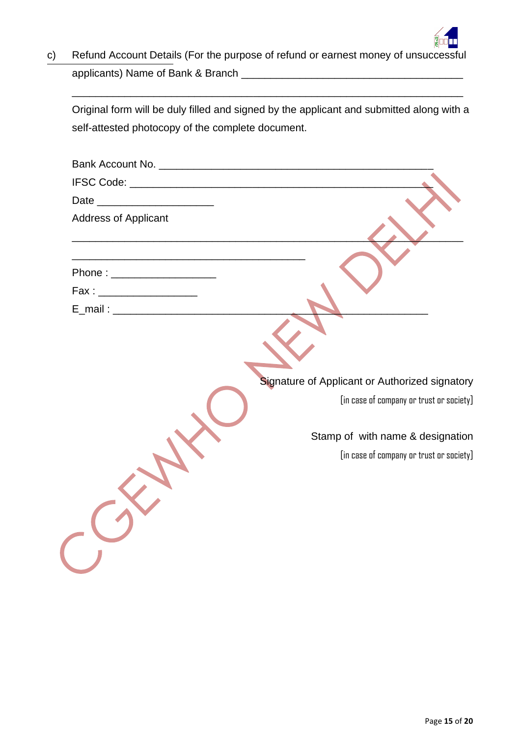

c) Refund Account Details (For the purpose of refund or earnest money of unsuccessful applicants) Name of Bank & Branch \_\_\_\_\_\_\_\_\_\_\_\_\_\_\_\_\_\_\_\_\_\_\_\_\_\_\_\_\_\_\_\_\_\_\_\_\_\_

Original form will be duly filled and signed by the applicant and submitted along with a self-attested photocopy of the complete document.

\_\_\_\_\_\_\_\_\_\_\_\_\_\_\_\_\_\_\_\_\_\_\_\_\_\_\_\_\_\_\_\_\_\_\_\_\_\_\_\_\_\_\_\_\_\_\_\_\_\_\_\_\_\_\_\_\_\_\_\_\_\_\_\_\_\_\_

| Date __________________________ |                                                |
|---------------------------------|------------------------------------------------|
| <b>Address of Applicant</b>     |                                                |
|                                 |                                                |
| Phone : ____________________    |                                                |
| Fax : _______________________   |                                                |
|                                 |                                                |
|                                 | Signature of Applicant or Authorized signatory |
|                                 | [in case of company or trust or society]       |
|                                 | Stamp of with name & designation               |
|                                 | [in case of company or trust or society]       |
|                                 |                                                |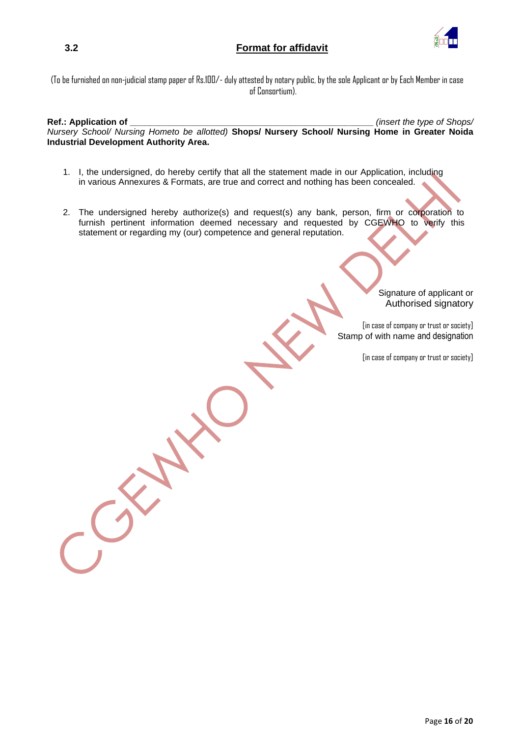## **3.2 Format for affidavit**



(To be furnished on non-judicial stamp paper of Rs.100/- duly attested by notary public, by the sole Applicant or by Each Member in case of Consortium).

**Ref.: Application of \_\_\_\_\_\_\_\_\_\_\_\_\_\_\_\_\_\_\_\_\_\_\_\_\_\_\_\_\_\_\_\_\_\_\_\_\_\_\_\_\_\_\_\_\_\_\_\_\_\_** *(insert the type of Shops/ Nursery School/ Nursing Hometo be allotted)* **Shops/ Nursery School/ Nursing Home in Greater Noida Industrial Development Authority Area.**

- 1. I, the undersigned, do hereby certify that all the statement made in our Application, including in various Annexures & Formats, are true and correct and nothing has been concealed.
- 2. The undersigned hereby authorize(s) and request(s) any bank, person, firm or corporation to furnish pertinent information deemed necessary and requested by CGEWHO to verify this statement or regarding my (our) competence and general reputation.

Signature of applicant or Authorised signatory

[in case of company or trust or society] Stamp of with name and designation

[in case of company or trust or society]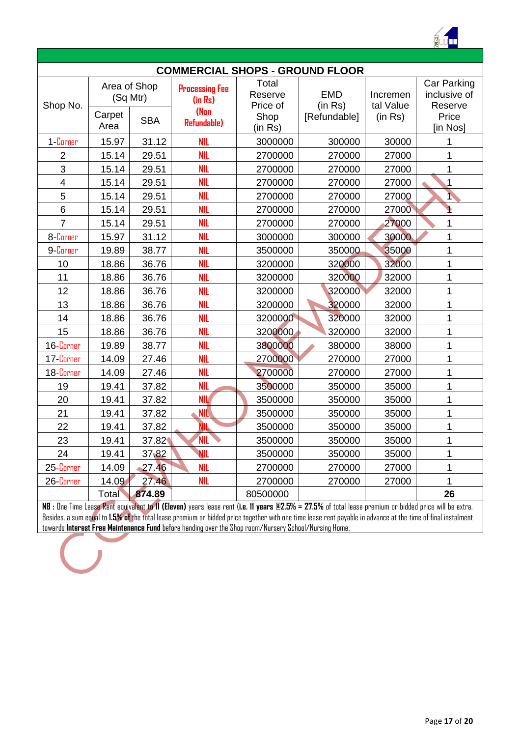

|                |                                                          |                     |                                                                 |                                                 | <b>COMMERCIAL SHOPS - GROUND FLOOR</b> |                                  |                                                             |  |  |  |  |
|----------------|----------------------------------------------------------|---------------------|-----------------------------------------------------------------|-------------------------------------------------|----------------------------------------|----------------------------------|-------------------------------------------------------------|--|--|--|--|
| Shop No.       | Area of Shop<br>(Sq Mtr)<br>Carpet<br><b>SBA</b><br>Area |                     | <b>Processing Fee</b><br>(in Rs)<br>(Non<br><b>Refundable</b> ) | Total<br>Reserve<br>Price of<br>Shop<br>(in Rs) | <b>EMD</b><br>(in Rs)<br>[Refundable]  | Incremen<br>tal Value<br>(in Rs) | Car Parking<br>inclusive of<br>Reserve<br>Price<br>[in Nos] |  |  |  |  |
| 1-Corner       | 15.97                                                    | 31.12               | <b>NIL</b>                                                      | 3000000                                         | 300000                                 | 30000                            | 1                                                           |  |  |  |  |
| $\overline{2}$ | 15.14                                                    | 29.51               | <b>NIL</b>                                                      | 2700000                                         | 270000                                 | 27000                            | 1                                                           |  |  |  |  |
| 3              | 15.14                                                    | 29.51               | <b>NIL</b>                                                      | 2700000                                         | 270000                                 | 27000                            | 1                                                           |  |  |  |  |
| 4              | 15.14                                                    | 29.51               | <b>NIL</b>                                                      | 2700000                                         | 270000                                 | 27000                            | 1                                                           |  |  |  |  |
| 5              | 15.14                                                    | 29.51               | <b>NIL</b>                                                      | 2700000                                         | 270000                                 | 27000                            | N                                                           |  |  |  |  |
| 6              | 15.14                                                    | 29.51               | <b>NIL</b>                                                      | 2700000                                         | 270000                                 | 27000                            |                                                             |  |  |  |  |
| $\overline{7}$ | 15.14                                                    | 29.51               | <b>NIL</b>                                                      | 2700000                                         | 270000                                 | 27000                            | $\mathbf{1}$                                                |  |  |  |  |
| 8-Corner       | 15.97                                                    | 31.12               | <b>NIL</b>                                                      | 3000000                                         | 300000                                 | 30000                            | $\overline{1}$                                              |  |  |  |  |
| 9-Corner       | 19.89                                                    | <b>NIL</b><br>38.77 |                                                                 | 3500000                                         | 350000                                 | 35000                            | $\overline{1}$                                              |  |  |  |  |
| 10             | 18.86<br>36.76                                           |                     | <b>NIL</b>                                                      | 3200000                                         | 320000                                 | 32000                            | 1                                                           |  |  |  |  |
| 11             | 18.86                                                    | 36.76               | <b>NIL</b>                                                      | 3200000                                         | 320000                                 | 32000                            | 1                                                           |  |  |  |  |
| 12             | 18.86                                                    | 36.76               | <b>NIL</b>                                                      | 3200000                                         | 320000                                 | 32000                            | $\overline{1}$                                              |  |  |  |  |
| 13             | 18.86                                                    | 36.76               | <b>NIL</b>                                                      | 3200000                                         | 320000                                 | 32000                            | $\overline{1}$                                              |  |  |  |  |
| 14             | 18.86                                                    | 36.76               | <b>NIL</b>                                                      | 3200000                                         | 320000                                 | 32000                            | $\overline{1}$                                              |  |  |  |  |
| 15             | 18.86                                                    | 36.76               | <b>NIL</b>                                                      | 3200000                                         | 320000                                 | 32000                            | 1                                                           |  |  |  |  |
| 16-Corner      | 19.89                                                    | 38.77               | <b>NIL</b>                                                      | 3800000                                         | 380000                                 | 38000                            | $\overline{1}$                                              |  |  |  |  |
| 17-Corner      | 14.09                                                    | 27.46               | <b>NIL</b>                                                      | 2700000                                         | 270000                                 | 27000                            | 1                                                           |  |  |  |  |
| 18-Corner      | 14.09                                                    | 27.46               | <b>NIL</b>                                                      | 2700000                                         | 270000                                 | 27000                            | $\overline{1}$                                              |  |  |  |  |
| 19             | 19.41                                                    | 37.82               | <b>NIL</b>                                                      | 3500000                                         | 350000                                 | 35000                            | $\overline{1}$                                              |  |  |  |  |
| 20             | 19.41                                                    | 37.82               | <b>NIL</b>                                                      | 3500000                                         | 350000                                 | 35000                            | $\overline{1}$                                              |  |  |  |  |
| 21             | 19.41                                                    | 37.82               | NIL.                                                            | 3500000                                         | 350000                                 | 35000                            | 1                                                           |  |  |  |  |
| 22             | 19.41                                                    | 37.82               | NIL                                                             | 3500000                                         | 350000                                 | 35000                            | 1                                                           |  |  |  |  |
| 23             | 19.41                                                    | 37.82               | <b>NIL</b>                                                      | 3500000                                         | 350000                                 | 35000                            | 1                                                           |  |  |  |  |
| 24             | 19.41                                                    | 37,82               | <b>NIL</b>                                                      | 3500000                                         | 350000                                 | 35000                            | $\mathbf{1}$                                                |  |  |  |  |
| 25-Corner      | 14.09                                                    | 27.46               | <b>NIL</b>                                                      | 2700000                                         | 270000                                 | 27000                            | 1                                                           |  |  |  |  |
| 26 Corner      | 14.09                                                    | 27.46               | <b>NIL</b>                                                      | 2700000                                         | 270000                                 | 27000                            | $\overline{1}$                                              |  |  |  |  |
|                | <b>Total</b>                                             | 874.89              |                                                                 | 80500000                                        |                                        |                                  | 26                                                          |  |  |  |  |

**NB :** One Time Lease Rent equivalent to **11 (Eleven)** years lease rent (**i.e. 11 years @2.5% = 27.5%** of total lease premium or bidded price will be extra. Besides, a sum equal to **1.5% of** the total lease premium or bidded price together with one time lease rent payable in advance at the time of final instalment towards **Interest Free Maintenance Fund** before handing over the Shop room/Nursery School/Nursing Home.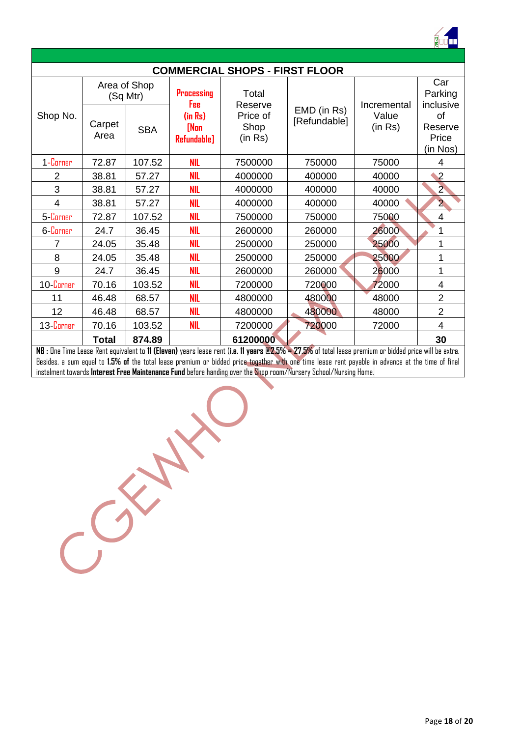

|                |                 |                          |                                | <b>COMMERCIAL SHOPS - FIRST FLOOR</b>                                                                                                                  |                             |                  |                                    |  |  |  |  |  |
|----------------|-----------------|--------------------------|--------------------------------|--------------------------------------------------------------------------------------------------------------------------------------------------------|-----------------------------|------------------|------------------------------------|--|--|--|--|--|
|                |                 | Area of Shop<br>(Sq Mtr) | <b>Processing</b><br>Fee       | Total<br>Reserve                                                                                                                                       |                             | Incremental      | Car<br>Parking<br>inclusive        |  |  |  |  |  |
| Shop No.       | Carpet<br>Area  | <b>SBA</b>               | (in Rs)<br>[Non<br>Refundable] | Price of<br>Shop<br>(in Rs)                                                                                                                            | EMD (in Rs)<br>[Refundable] | Value<br>(in Rs) | of<br>Reserve<br>Price<br>(in Nos) |  |  |  |  |  |
| 1-Corner       | 72.87           | 107.52                   | <b>NIL</b>                     | 7500000                                                                                                                                                | 750000                      | 75000            | 4                                  |  |  |  |  |  |
| $\overline{2}$ | 38.81           | 57.27                    | <b>NIL</b>                     | 4000000                                                                                                                                                | 400000                      | 40000            | $\mathbf{V}^2$                     |  |  |  |  |  |
| 3              | 38.81<br>57.27  |                          | <b>NIL</b>                     | 4000000                                                                                                                                                | 400000                      | 40000            | $2^{\circ}$                        |  |  |  |  |  |
| 4              | 38.81           | 57.27                    | <b>NIL</b>                     | 4000000                                                                                                                                                | 400000                      | 40000            | $\overline{2}$                     |  |  |  |  |  |
| 5-Corner       | 72.87           | 107.52                   | <b>NIL</b>                     | 7500000                                                                                                                                                | 750000                      | 75000            | 4                                  |  |  |  |  |  |
| 6-Corner       | 24.7            | 36.45                    | <b>NIL</b>                     | 2600000                                                                                                                                                | 260000                      | 26000            | 1                                  |  |  |  |  |  |
| 7              | 24.05           | 35.48                    | <b>NIL</b>                     | 2500000                                                                                                                                                | 250000                      | 25000            | 1                                  |  |  |  |  |  |
| 8              | 24.05           | 35.48                    | <b>NIL</b>                     | 2500000                                                                                                                                                | 250000                      | 25000            | 1                                  |  |  |  |  |  |
| 9              | 24.7            | 36.45                    | <b>NIL</b>                     | 2600000                                                                                                                                                | 260000                      | 26000            | 1                                  |  |  |  |  |  |
| 10 Corner      | 70.16           | 103.52                   | <b>NIL</b>                     | 7200000                                                                                                                                                | 720000                      | 72000            | 4                                  |  |  |  |  |  |
| 11             | 46.48           | 68.57                    | <b>NIL</b>                     | 4800000                                                                                                                                                | 480000                      | 48000            | $\overline{2}$                     |  |  |  |  |  |
| 12             | 46.48           | 68.57                    | <b>NIL</b>                     | 4800000                                                                                                                                                | 480000                      | 48000            | $\overline{2}$                     |  |  |  |  |  |
| 13-Corner      | 70.16<br>103.52 |                          | <b>NIL</b>                     | 7200000                                                                                                                                                | 720000                      | 72000            | 4                                  |  |  |  |  |  |
|                | Total           | 874.89                   |                                | 61200000                                                                                                                                               |                             |                  | 30                                 |  |  |  |  |  |
|                |                 |                          |                                | NB : One Time Lease Rent equivalent to 11 (Eleven) years lease rent (i.e. 11 years @2.5% = 27.5% of total lease premium or bidded price will be extra. |                             |                  |                                    |  |  |  |  |  |

Besides, a sum equal to **1.5% of** the total lease premium or bidded price together with one time lease rent payable in advance at the time of final instalment towards **Interest Free Maintenance Fund** before handing over the Shop room/Nursery School/Nursing Home.

Control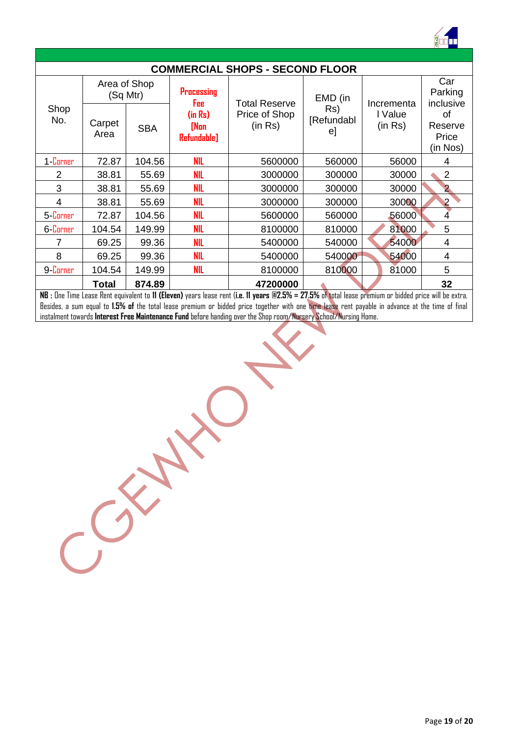

|             |                          |            |                                | <b>COMMERCIAL SHOPS - SECOND FLOOR</b> |                         |                    |                                    |  |  |  |  |  |
|-------------|--------------------------|------------|--------------------------------|----------------------------------------|-------------------------|--------------------|------------------------------------|--|--|--|--|--|
|             | Area of Shop<br>(Sq Mtr) |            | <b>Processing</b><br>Fee       | <b>Total Reserve</b>                   | EMD (in                 | Incrementa         | Car<br>Parking<br>inclusive        |  |  |  |  |  |
| Shop<br>No. | Carpet<br>Area           | <b>SBA</b> | (in Rs)<br>[Non<br>Refundable] | Price of Shop<br>(in Rs)               | Rs)<br>[Refundabl<br>e] | I Value<br>(in Rs) | οf<br>Reserve<br>Price<br>(in Nos) |  |  |  |  |  |
| 1-Corner    | 72.87                    | 104.56     | <b>NIL</b>                     | 5600000                                | 560000                  | 56000              | 4                                  |  |  |  |  |  |
| 2           | 38.81                    | 55.69      | <b>NIL</b>                     | 3000000                                | 300000                  | 30000              | $\overline{2}$                     |  |  |  |  |  |
| 3           | 38.81                    | 55.69      | <b>NIL</b>                     | 3000000                                | 300000                  | 30000              | $\overline{2}$                     |  |  |  |  |  |
| 4           | 38.81                    | 55.69      | <b>NIL</b>                     | 3000000                                | 300000                  | 30000              | $\overline{2}$                     |  |  |  |  |  |
| 5-Corner    | 72.87                    | 104.56     | <b>NIL</b>                     | 5600000                                | 560000                  | 56000              | 4                                  |  |  |  |  |  |
| 6-Corner    | 104.54                   | 149.99     | <b>NIL</b>                     | 8100000                                | 810000                  | 81000              | 5                                  |  |  |  |  |  |
| 7           | 69.25                    | 99.36      | <b>NIL</b>                     | 5400000                                | 540000                  | 54000              | 4                                  |  |  |  |  |  |
| 8           | 69.25                    | 99.36      | <b>NIL</b>                     | 5400000                                | 540000                  | 54000              | 4                                  |  |  |  |  |  |
| 9-Corner    | 104.54<br>149.99         |            | <b>NIL</b>                     | 8100000                                | 810000                  | 81000              | 5                                  |  |  |  |  |  |
|             | <b>Total</b>             | 874.89     |                                | 47200000                               |                         |                    | 32                                 |  |  |  |  |  |

**NB :** One Time Lease Rent equivalent to **11 (Eleven)** years lease rent (**i.e. 11 years @2.5% = 27.5%** of total lease premium or bidded price will be extra. Besides, a sum equal to **1.5% of** the total lease premium or bidded price together with one time lease rent payable in advance at the time of final instalment towards **Interest Free Maintenance Fund** before handing over the Shop room/Nursery School/Nursing Home.

CONNE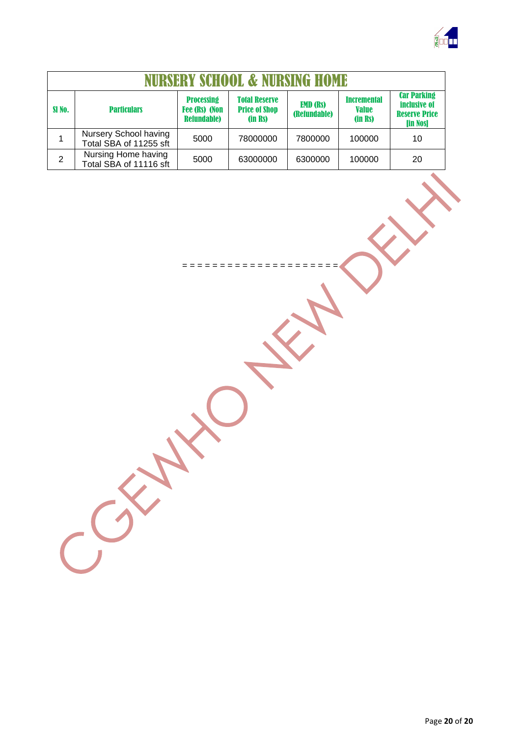

| NURSERY SCHOOL & NURSING HOME |                                                 |                                                                 |                                                         |                                 |                                               |                                                                        |  |  |  |  |
|-------------------------------|-------------------------------------------------|-----------------------------------------------------------------|---------------------------------------------------------|---------------------------------|-----------------------------------------------|------------------------------------------------------------------------|--|--|--|--|
| SI <sub>No.</sub>             | <b>Particulars</b>                              | <b>Processing</b><br><b>Fee (Rs) (Non</b><br><b>Refundable)</b> | <b>Total Reserve</b><br><b>Price of Shop</b><br>(in Rs) | <b>EMD (RS)</b><br>(Refundable) | <b>Incremental</b><br><b>Value</b><br>(in Rs) | <b>Car Parking</b><br>inclusive of<br><b>Reserve Price</b><br>[in Nos] |  |  |  |  |
|                               | Nursery School having<br>Total SBA of 11255 sft | 5000                                                            | 78000000                                                | 7800000                         | 100000                                        | 10                                                                     |  |  |  |  |
| $\overline{2}$                | Nursing Home having<br>Total SBA of 11116 sft   | 5000                                                            | 63000000                                                | 6300000                         | 100000                                        | 20                                                                     |  |  |  |  |

= = = = = = = = = = = = = = = = = = = = =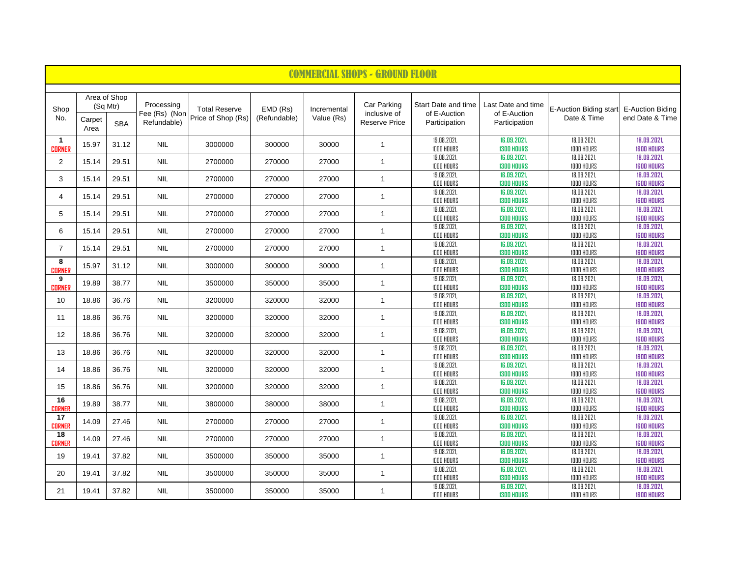|                               | <b>COMMERCIAL SHOPS - GROUND FLOOR</b> |            |                             |                                            |                          |                           |                             |                                     |                                    |                                       |                                            |  |
|-------------------------------|----------------------------------------|------------|-----------------------------|--------------------------------------------|--------------------------|---------------------------|-----------------------------|-------------------------------------|------------------------------------|---------------------------------------|--------------------------------------------|--|
|                               |                                        |            |                             |                                            |                          |                           |                             |                                     |                                    |                                       |                                            |  |
| Shop<br>No.                   | Area of Shop<br>(Sq Mtr)               |            | Processing<br>Fee (Rs) (Non | <b>Total Reserve</b><br>Price of Shop (Rs) | EMD (Rs)<br>(Refundable) | Incremental<br>Value (Rs) | Car Parking<br>inclusive of | Start Date and time<br>of E-Auction | Last Date and time<br>of E-Auction | E-Auction Biding start<br>Date & Time | <b>E-Auction Biding</b><br>end Date & Time |  |
|                               | Carpet<br>Area                         | <b>SBA</b> | Refundable)                 |                                            |                          |                           | <b>Reserve Price</b>        | Participation                       | Participation                      |                                       |                                            |  |
| $\mathbf{1}$<br><b>CORNER</b> | 15.97                                  | 31.12      | <b>NIL</b>                  | 3000000                                    | 300000                   | 30000                     | $\mathbf{1}$                | 19.08.2021,<br><b>IODO HOURS</b>    | 16.09.2021,<br><b>1300 HOURS</b>   | 18.09.2021,<br><b>IDDO HOURS</b>      | 18.09.2021,<br><b>IGOD HOURS</b>           |  |
| $\overline{2}$                | 15.14                                  | 29.51      | <b>NIL</b>                  | 2700000                                    | 270000                   | 27000                     | $\mathbf{1}$                | 19.08.2021,<br><b>IODO HOURS</b>    | 16.09.2021,<br><b>1300 HOURS</b>   | 18.09.2021,<br><b>IDDD HOURS</b>      | 18.09.2021,<br><b>IGOD HOURS</b>           |  |
| 3                             | 15.14                                  | 29.51      | <b>NIL</b>                  | 2700000                                    | 270000                   | 27000                     | $\mathbf{1}$                | 19.08.2021,<br><b>IODO HOURS</b>    | 16.09.2021,<br><b>1300 HOURS</b>   | 18.09.2021,<br><b>IDDD HOURS</b>      | 18.09.2021,<br><b>IGOD HOURS</b>           |  |
| $\overline{4}$                | 15.14                                  | 29.51      | <b>NIL</b>                  | 2700000                                    | 270000                   | 27000                     | $\mathbf{1}$                | 19.08.2021,<br><b>IODO HOURS</b>    | 16.09.2021,<br><b>1300 HOURS</b>   | 18.09.2021,<br><b>IDDO HOURS</b>      | 18.09.2021,<br><b>IGOD HOURS</b>           |  |
| 5                             | 15.14                                  | 29.51      | <b>NIL</b>                  | 2700000                                    | 270000                   | 27000                     | $\mathbf{1}$                | 19.08.2021,<br><b>IODO HOURS</b>    | 16.09.2021,<br><b>1300 HOURS</b>   | 18.09.2021,<br><b>IDDD HOURS</b>      | 18.09.2021,<br><b>IGOD HOURS</b>           |  |
| 6                             | 15.14                                  | 29.51      | <b>NIL</b>                  | 2700000                                    | 270000                   | 27000                     | $\mathbf{1}$                | 19.08.2021,<br><b>IODO HOURS</b>    | 16.09.2021,<br><b>1300 HOURS</b>   | 18.09.2021,<br><b>IDDD HOURS</b>      | 18.09.2021,<br><b>IGOD HOURS</b>           |  |
| $\overline{7}$                | 15.14                                  | 29.51      | <b>NIL</b>                  | 2700000                                    | 270000                   | 27000                     | $\mathbf{1}$                | 19.08.2021,<br><b>1000 HOURS</b>    | 16.09.2021,<br><b>1300 HOURS</b>   | 18.09.2021,<br><b>IDDO HOURS</b>      | 18.09.2021,<br><b>IGOD HOURS</b>           |  |
| 8<br><b>CORNER</b>            | 15.97                                  | 31.12      | <b>NIL</b>                  | 3000000                                    | 300000                   | 30000                     | $\mathbf{1}$                | 19.08.2021,<br><b>IODO HOURS</b>    | 16.09.2021,<br><b>1300 HOURS</b>   | 18.09.2021,<br><b>IDDO HOURS</b>      | 18.09.2021,<br><b>IGOD HOURS</b>           |  |
| 9<br><b>CORNER</b>            | 19.89                                  | 38.77      | <b>NIL</b>                  | 3500000                                    | 350000                   | 35000                     | $\mathbf{1}$                | 19.08.2021,<br><b>1000 HOURS</b>    | 16.09.2021,<br><b>1300 HOURS</b>   | 18.09.2021,<br><b>IDDO HOURS</b>      | 18.09.2021.<br><b>IGOD HOURS</b>           |  |
| 10                            | 18.86                                  | 36.76      | <b>NIL</b>                  | 3200000                                    | 320000                   | 32000                     | $\mathbf{1}$                | 19.08.2021,<br><b>1000 HOURS</b>    | 16.09.2021,<br><b>1300 HOURS</b>   | 18.09.2021,<br><b>IDDO HOURS</b>      | 18.09.2021.<br><b>IGOD HOURS</b>           |  |
| 11                            | 18.86                                  | 36.76      | <b>NIL</b>                  | 3200000                                    | 320000                   | 32000                     | $\mathbf{1}$                | 19.08.2021,<br><b>IODO HOURS</b>    | 16.09.2021,<br><b>1300 HOURS</b>   | 18.09.2021,<br><b>IDDD HOURS</b>      | 18.09.2021.<br><b>IGOD HOURS</b>           |  |
| 12                            | 18.86                                  | 36.76      | <b>NIL</b>                  | 3200000                                    | 320000                   | 32000                     | $\mathbf{1}$                | 19.08.2021,<br><b>IDDD HOURS</b>    | 16.09.2021.<br><b>1300 HOURS</b>   | 18.09.2021,<br><b>IDDO HOURS</b>      | 18.09.2021.<br><b>IGOD HOURS</b>           |  |
| 13                            | 18.86                                  | 36.76      | <b>NIL</b>                  | 3200000                                    | 320000                   | 32000                     | $\mathbf{1}$                | 19.08.2021.<br><b>IDDD HOURS</b>    | 16.09.2021.<br><b>1300 HOURS</b>   | 18.09.2021,<br><b>IDDO HOURS</b>      | 18.09.2021.<br><b>IGOD HOURS</b>           |  |
| 14                            | 18.86                                  | 36.76      | <b>NIL</b>                  | 3200000                                    | 320000                   | 32000                     | $\mathbf{1}$                | 19.08.2021,<br><b>IDDD HOURS</b>    | 16.09.2021.<br><b>1300 HOURS</b>   | 18.09.2021,<br><b>IDDO HOURS</b>      | 18.09.2021.<br><b>IGOD HOURS</b>           |  |
| 15                            | 18.86                                  | 36.76      | <b>NIL</b>                  | 3200000                                    | 320000                   | 32000                     | $\mathbf{1}$                | 19.08.2021.<br><b>IDDD HOURS</b>    | 16.09.2021,<br><b>1300 HOURS</b>   | 18.09.2021,<br><b>IDDO HOURS</b>      | 18.09.2021,<br><b>IGOD HOURS</b>           |  |
| 16<br><b>CORNER</b>           | 19.89                                  | 38.77      | <b>NIL</b>                  | 3800000                                    | 380000                   | 38000                     | $\mathbf{1}$                | 19.08.2021,<br><b>IDDD HOURS</b>    | 16.09.2021,<br><b>1300 HOURS</b>   | 18.09.2021,<br><b>IDDD HOURS</b>      | 18.09.2021,<br><b>IGOD HOURS</b>           |  |
| 17<br><b>CORNER</b>           | 14.09                                  | 27.46      | <b>NIL</b>                  | 2700000                                    | 270000                   | 27000                     | $\mathbf{1}$                | 19.08.2021,<br><b>1000 HOURS</b>    | 16.09.2021,<br><b>1300 HOURS</b>   | 18.09.2021,<br><b>IDDD HOURS</b>      | 18.09.2021,<br><b>IGOD HOURS</b>           |  |
| 18<br><b>CORNER</b>           | 14.09                                  | 27.46      | <b>NIL</b>                  | 2700000                                    | 270000                   | 27000                     | $\mathbf{1}$                | 19.08.2021,<br><b>1000 HOURS</b>    | 16.09.2021,<br><b>1300 HOURS</b>   | 18.09.2021,<br><b>IDDD HOURS</b>      | 18.09.2021,<br><b>IGOD HOURS</b>           |  |
| 19                            | 19.41                                  | 37.82      | <b>NIL</b>                  | 3500000                                    | 350000                   | 35000                     | $\mathbf{1}$                | 19.08.2021,<br><b>1000 HOURS</b>    | 16.09.2021,<br><b>1300 HOURS</b>   | 18.09.2021,<br><b>IDDD HOURS</b>      | 18.09.2021,<br><b>IGOD HOURS</b>           |  |
| 20                            | 19.41                                  | 37.82      | <b>NIL</b>                  | 3500000                                    | 350000                   | 35000                     | $\mathbf{1}$                | 19.08.2021,<br><b>1000 HOURS</b>    | 16.09.2021,<br><b>1300 HOURS</b>   | 18.09.2021,<br><b>IDDD HOURS</b>      | 18.09.2021,<br><b>IGOD HOURS</b>           |  |
| 21                            | 19.41                                  | 37.82      | <b>NIL</b>                  | 3500000                                    | 350000                   | 35000                     | $\mathbf{1}$                | 19.08.2021,<br><b>1000 HOURS</b>    | 16.09.2021,<br><b>1300 HOURS</b>   | 18.09.2021,<br><b>IDDO HOURS</b>      | 18.09.2021,<br><b>IGOD HOURS</b>           |  |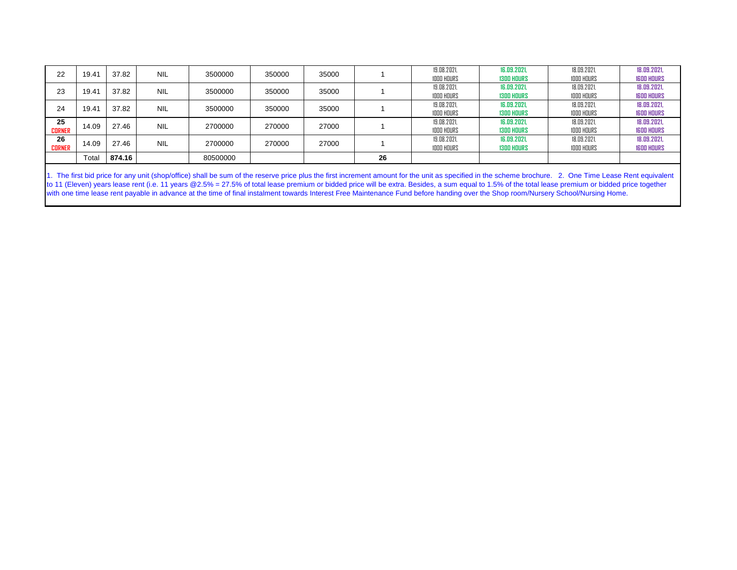| 22                  | 19.41 | 37.82  | <b>NIL</b> | 3500000  | 350000 | 35000 |    | 19.08.2021<br><b>1000 HOURS</b> | 16.09.2021.<br><b>1300 HOURS</b> | 18.09.2021.<br><b>1000 HOURS</b> | 18.09.2021.<br><b>IGOD HOURS</b> |
|---------------------|-------|--------|------------|----------|--------|-------|----|---------------------------------|----------------------------------|----------------------------------|----------------------------------|
| 23                  | 19.41 | 37.82  | <b>NIL</b> | 3500000  | 350000 | 35000 |    | 19.08.2021<br><b>1000 HOURS</b> | 16.09.2021.<br><b>1300 HOURS</b> | 18.09.2021.<br><b>1000 HOURS</b> | 18.09.2021.<br><b>IGOD HOURS</b> |
| 24                  | 19.41 | 37.82  | <b>NIL</b> | 3500000  | 350000 | 35000 |    | 19.08.2021<br><b>1000 HOURS</b> | 16.09.2021.<br><b>1300 HOURS</b> | 18.09.2021.<br><b>1000 HOURS</b> | 18.09.2021.<br><b>IGOD HOURS</b> |
| 25<br><b>CORNER</b> | 14.09 | 27.46  | <b>NIL</b> | 2700000  | 270000 | 27000 |    | 19.08.2021<br><b>1000 HOURS</b> | 16.09.2021.<br><b>1300 HOURS</b> | 18.09.2021.<br>IDDO HOURS        | 18.09.2021.<br><b>IGOD HOURS</b> |
| 26<br><b>CORNER</b> | 14.09 | 27.46  | <b>NIL</b> | 2700000  | 270000 | 27000 |    | 19.08.2021<br><b>1000 HOURS</b> | 16.09.2021<br><b>1300 HOURS</b>  | 18.09.2021.<br><b>1000 HOURS</b> | 18.09.2021.<br><b>IGOD HOURS</b> |
|                     | Total | 874.16 |            | 80500000 |        |       | 26 |                                 |                                  |                                  |                                  |

1. The first bid price for any unit (shop/office) shall be sum of the reserve price plus the first increment amount for the unit as specified in the scheme brochure. 2. One Time Lease Rent equivalent to 11 (Eleven) years lease rent (i.e. 11 years @2.5% = 27.5% of total lease premium or bidded price will be extra. Besides, a sum equal to 1.5% of the total lease premium or bidded price together with one time lease rent payable in advance at the time of final instalment towards Interest Free Maintenance Fund before handing over the Shop room/Nursery School/Nursing Home.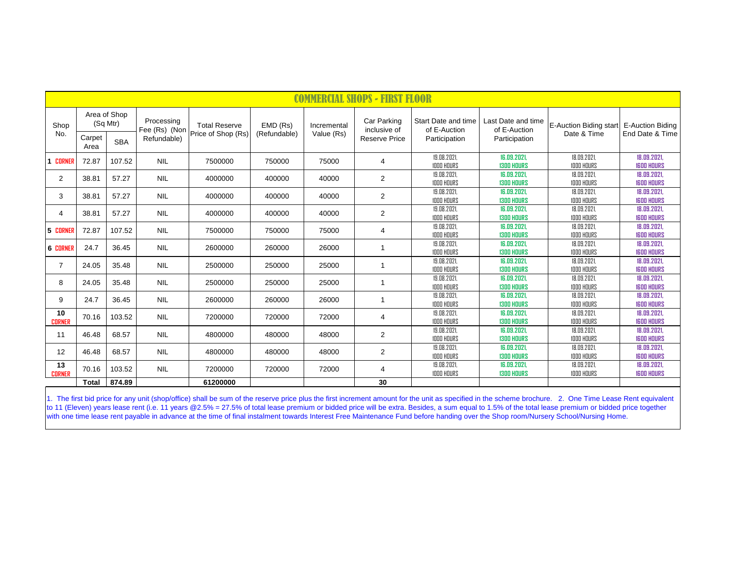|                     | <u> COMMERCIAL SHOPS - FIRST</u><br>FLOOR |            |                                            |                                            |                          |                           |                                                     |                                                      |                                                     |                                                        |                                  |  |  |
|---------------------|-------------------------------------------|------------|--------------------------------------------|--------------------------------------------|--------------------------|---------------------------|-----------------------------------------------------|------------------------------------------------------|-----------------------------------------------------|--------------------------------------------------------|----------------------------------|--|--|
| Shop<br>No.         | Area of Shop<br>(Sq Mtr)<br>Carpet        | <b>SBA</b> | Processing<br>Fee (Rs) (Non<br>Refundable) | <b>Total Reserve</b><br>Price of Shop (Rs) | EMD (Rs)<br>(Refundable) | Incremental<br>Value (Rs) | Car Parking<br>inclusive of<br><b>Reserve Price</b> | Start Date and time<br>of E-Auction<br>Participation | Last Date and time<br>of E-Auction<br>Participation | E-Auction Biding start E-Auction Biding<br>Date & Time | End Date & Time                  |  |  |
|                     | Area                                      |            |                                            |                                            |                          |                           |                                                     | 19.08.2021.                                          | 16.09.2021.                                         | 18.09.2021.                                            | 18.09.2021.                      |  |  |
| 1 CORNER            | 72.87                                     | 107.52     | <b>NIL</b>                                 | 7500000                                    | 750000                   | 75000                     | 4                                                   | <b>1000 HOURS</b>                                    | <b>1300 HOURS</b>                                   | <b>1000 HOURS</b>                                      | <b>IGOD HOURS</b>                |  |  |
| 2                   | 38.81                                     | 57.27      | <b>NIL</b>                                 | 4000000                                    | 400000                   | 40000                     | $\overline{2}$                                      | 19.08.2021<br><b>IDDD HOURS</b>                      | 16.09.2021.<br><b>1300 HOURS</b>                    | 18.09.2021<br><b>IDDO HOURS</b>                        | 18.09.2021.<br><b>IGOD HOURS</b> |  |  |
| 3                   | 38.81                                     | 57.27      | <b>NIL</b>                                 | 4000000                                    | 400000                   | 40000                     | 2                                                   | 19.08.2021<br><b>1000 HOURS</b>                      | 16.09.2021,<br><b>1300 HOURS</b>                    | 18.09.2021,<br><b>1000 HOURS</b>                       | 18.09.2021,<br><b>IGOD HOURS</b> |  |  |
| 4                   | 38.81                                     | 57.27      | <b>NIL</b>                                 | 4000000                                    | 400000                   | 40000                     | 2                                                   | 19.08.2021<br><b>1000 HOURS</b>                      | 16.09.2021,<br><b>1300 HOURS</b>                    | 18.09.2021<br><b>1000 HOURS</b>                        | 18.09.2021,<br><b>IGOD HOURS</b> |  |  |
| 5 CORNER            | 72.87                                     | 107.52     | <b>NIL</b>                                 | 7500000                                    | 750000                   | 75000                     | 4                                                   | 19.08.2021,<br><b>1000 HOURS</b>                     | 16.09.2021,<br><b>1300 HOURS</b>                    | 18.09.2021<br><b>1000 HOURS</b>                        | 18.09.2021,<br><b>IGOD HOURS</b> |  |  |
| <b>6 CORNER</b>     | 24.7                                      | 36.45      | <b>NIL</b>                                 | 2600000                                    | 260000                   | 26000                     | $\overline{1}$                                      | 19.08.2021<br><b>1000 HOURS</b>                      | 16.09.2021,<br><b>1300 HOURS</b>                    | 18.09.2021,<br><b>1000 HOURS</b>                       | 18.09.2021.<br><b>IGOD HOURS</b> |  |  |
| $\overline{7}$      | 24.05                                     | 35.48      | <b>NIL</b>                                 | 2500000                                    | 250000                   | 25000                     | $\overline{1}$                                      | 19.08.2021,<br><b>IDDD HOURS</b>                     | 16.09.2021,<br><b>1300 HOURS</b>                    | 18.09.2021,<br><b>1000 HOURS</b>                       | 18.09.2021,<br><b>IGOD HOURS</b> |  |  |
| 8                   | 24.05                                     | 35.48      | <b>NIL</b>                                 | 2500000                                    | 250000                   | 25000                     | $\overline{\mathbf{1}}$                             | 19.08.2021.<br><b>IDDD HOURS</b>                     | 16.09.2021.<br><b>1300 HOURS</b>                    | 18.09.2021.<br><b>IDDO HOURS</b>                       | 18.09.2021.<br><b>IGOD HOURS</b> |  |  |
| 9                   | 24.7                                      | 36.45      | <b>NIL</b>                                 | 2600000                                    | 260000                   | 26000                     | $\overline{\mathbf{1}}$                             | 19.08.2021<br><b>IDDD HOURS</b>                      | 16.09.2021,<br><b>1300 HOURS</b>                    | 18.09.2021<br><b>IDDO HOURS</b>                        | 18.09.2021,<br><b>IGOD HOURS</b> |  |  |
| 10<br><b>CORNER</b> | 70.16                                     | 103.52     | <b>NIL</b>                                 | 7200000                                    | 720000                   | 72000                     | 4                                                   | 19.08.2021,<br><b>1000 HOURS</b>                     | 16.09.2021,<br><b>1300 HOURS</b>                    | 18.09.2021,<br><b>1000 HOURS</b>                       | 18.09.2021,<br><b>IGOD HOURS</b> |  |  |
| 11                  | 46.48                                     | 68.57      | <b>NIL</b>                                 | 4800000                                    | 480000                   | 48000                     | 2                                                   | 19.08.2021.<br><b>1000 HOURS</b>                     | 16.09.2021.<br><b>1300 HOURS</b>                    | 18.09.2021<br><b>1000 HOURS</b>                        | 18.09.2021.<br><b>IGOD HOURS</b> |  |  |
| 12                  | 46.48                                     | 68.57      | <b>NIL</b>                                 | 4800000                                    | 480000                   | 48000                     | 2                                                   | 19.08.2021,<br><b>1000 HOURS</b>                     | 16.09.2021,<br><b>1300 HOURS</b>                    | 18.09.2021,<br><b>1000 HOURS</b>                       | 18.09.2021,<br><b>IGOD HOURS</b> |  |  |
| 13<br><b>CORNER</b> | 70.16                                     | 103.52     | <b>NIL</b>                                 | 7200000                                    | 720000                   | 72000                     | 4                                                   | 19.08.2021<br><b>IDDD HOURS</b>                      | 16.09.2021,<br><b>1300 HOURS</b>                    | 18.09.2021,<br><b>1000 HOURS</b>                       | 18.09.2021,<br><b>IGOD HOURS</b> |  |  |
|                     | <b>Total</b>                              | 874.89     |                                            | 61200000                                   |                          |                           | 30                                                  |                                                      |                                                     |                                                        |                                  |  |  |

1. The first bid price for any unit (shop/office) shall be sum of the reserve price plus the first increment amount for the unit as specified in the scheme brochure. 2. One Time Lease Rent equivalent to 11 (Eleven) years lease rent (i.e. 11 years @2.5% = 27.5% of total lease premium or bidded price will be extra. Besides, a sum equal to 1.5% of the total lease premium or bidded price together with one time lease rent payable in advance at the time of final instalment towards Interest Free Maintenance Fund before handing over the Shop room/Nursery School/Nursing Home.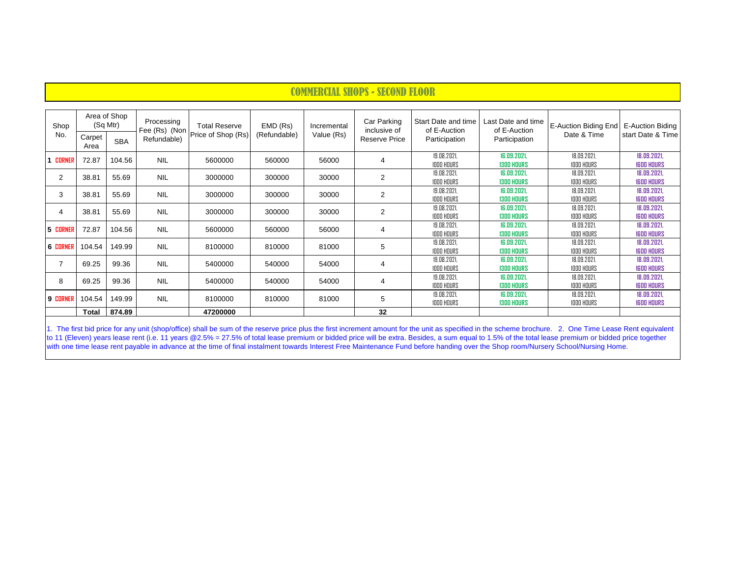| Shop<br>No.     | Area of Shop<br>(Sq Mtr) |            | Processing<br>Fee (Rs) (Non | <b>Total Reserve</b> | EMD (Rs)     | Incremental | Car Parking<br>inclusive of | Start Date and time<br>of E-Auction | Last Date and time<br>of E-Auction | E-Auction Biding End             | E-Auction Biding                 |
|-----------------|--------------------------|------------|-----------------------------|----------------------|--------------|-------------|-----------------------------|-------------------------------------|------------------------------------|----------------------------------|----------------------------------|
|                 | Carpet<br>Area           | <b>SBA</b> | Refundable)                 | Price of Shop (Rs)   | (Refundable) | Value (Rs)  | Reserve Price               | Participation                       | Participation                      | Date & Time                      | start Date & Time                |
| 1 CORNEI        | 72.87                    | 104.56     | <b>NIL</b>                  | 5600000              | 560000       | 56000       | 4                           | 19.08.2021.<br><b>IDDD HOURS</b>    | 16.09.2021,<br><b>1300 HOURS</b>   | 18.09.2021.<br><b>1000 HOURS</b> | 18.09.2021,<br><b>IGOD HOURS</b> |
| $\overline{2}$  | 38.81                    | 55.69      | <b>NIL</b>                  | 3000000              | 300000       | 30000       | $\overline{2}$              | 19.08.2021,<br><b>1000 HOURS</b>    | 16.09.2021,<br><b>1300 HOURS</b>   | 18.09.2021,<br><b>1000 HOURS</b> | 18.09.2021,<br><b>IGOD HOURS</b> |
| 3               | 38.81                    | 55.69      | <b>NIL</b>                  | 3000000              | 300000       | 30000       | $\overline{2}$              | 19.08.2021,<br><b>1000 HOURS</b>    | 16.09.2021,<br><b>1300 HOURS</b>   | 18.09.2021,<br><b>1000 HOURS</b> | 18.09.2021,<br><b>IGOD HOURS</b> |
| 4               | 38.81                    | 55.69      | <b>NIL</b>                  | 3000000              | 300000       | 30000       | $\overline{2}$              | 19.08.2021,<br><b>1000 HOURS</b>    | 16.09.2021,<br><b>1300 HOURS</b>   | 18.09.2021,<br><b>1000 HOURS</b> | 18.09.2021,<br><b>IGOD HOURS</b> |
| 5 CORNER        | 72.87                    | 104.56     | <b>NIL</b>                  | 5600000              | 560000       | 56000       | 4                           | 19.08.2021,<br><b>IDDD HOURS</b>    | 16.09.2021,<br><b>1300 HOURS</b>   | 18.09.2021,<br><b>IDDO HOURS</b> | 18.09.2021,<br><b>IGOD HOURS</b> |
| 6 CORNER        | 104.54                   | 149.99     | <b>NIL</b>                  | 8100000              | 810000       | 81000       | 5                           | 19.08.2021,<br><b>1000 HOURS</b>    | 16.09.2021,<br><b>1300 HOURS</b>   | 18.09.2021,<br><b>1000 HOURS</b> | 18.09.2021,<br><b>IGOD HOURS</b> |
| $\overline{7}$  | 69.25                    | 99.36      | <b>NIL</b>                  | 5400000              | 540000       | 54000       | 4                           | 19.08.2021,<br><b>1000 HOURS</b>    | 16.09.2021,<br><b>1300 HOURS</b>   | 18.09.2021,<br><b>1000 HOURS</b> | 18.09.2021,<br><b>IGOD HOURS</b> |
| 8               | 69.25                    | 99.36      | <b>NIL</b>                  | 5400000              | 540000       | 54000       | 4                           | 19.08.2021,<br><b>1000 HOURS</b>    | 16.09.2021,<br><b>1300 HOURS</b>   | 18.09.2021,<br><b>1000 HOURS</b> | 18.09.2021,<br><b>IGOD HOURS</b> |
| <b>9 CORNER</b> | 104.54                   | 149.99     | <b>NIL</b>                  | 8100000              | 810000       | 81000       | 5                           | 19.08.2021,<br><b>IODO HOURS</b>    | 16.09.2021,<br><b>1300 HOURS</b>   | 18.09.2021,<br><b>1000 HOURS</b> | 18.09.2021,<br><b>IGOD HOURS</b> |
|                 | Total                    | 874.89     |                             | 47200000             |              |             | 32                          |                                     |                                    |                                  |                                  |

1. The first bid price for any unit (shop/office) shall be sum of the reserve price plus the first increment amount for the unit as specified in the scheme brochure. 2. One Time Lease Rent equivalent to 11 (Eleven) years lease rent (i.e. 11 years @2.5% = 27.5% of total lease premium or bidded price will be extra. Besides, a sum equal to 1.5% of the total lease premium or bidded price together with one time lease rent payable in advance at the time of final instalment towards Interest Free Maintenance Fund before handing over the Shop room/Nursery School/Nursing Home.

# COMMERCIAL SHOPS - SECOND FLOOR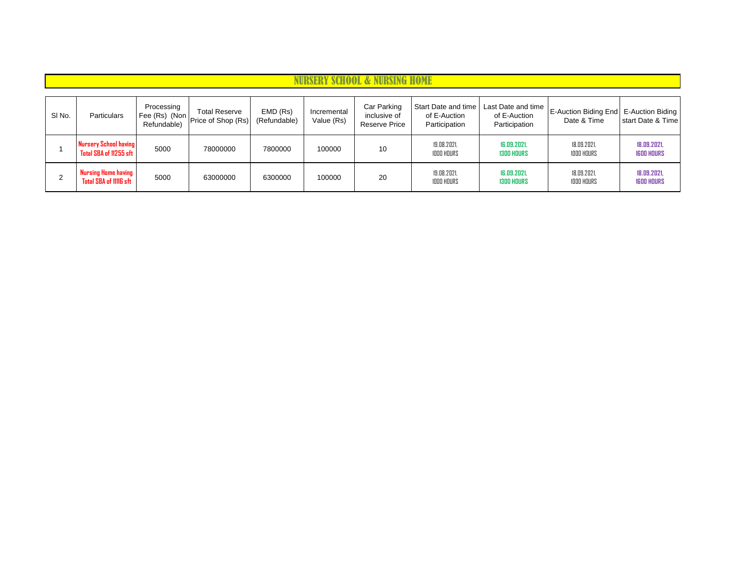| SI <sub>No.</sub> | Particulars                                     | Processing<br>Refundable) | <b>Total Reserve</b><br>Fee (Rs) (Non Price of Shop (Rs) | EMD (Rs)<br>(Refundable) | Incremental<br>Value (Rs) | Car Parking<br>inclusive of<br>Reserve Price | Start Date and time<br>of E-Auction<br>Participation | Last Date and time<br>of E-Auction<br>Participation | E-Auction Biding End   E-Auction Biding  <br>Date & Time | start Date & Time                |
|-------------------|-------------------------------------------------|---------------------------|----------------------------------------------------------|--------------------------|---------------------------|----------------------------------------------|------------------------------------------------------|-----------------------------------------------------|----------------------------------------------------------|----------------------------------|
|                   | Nursery School having<br>Total SBA of 11255 sft | 5000                      | 78000000                                                 | 7800000                  | 100000                    | 10                                           | 19.08.2021.<br><b>1000 HOURS</b>                     | 16.09.2021.<br><b>1300 HOURS</b>                    | 18.09.2021.<br><b>1000 HOURS</b>                         | 18.09.2021,<br><b>IGOD HOURS</b> |
| C.<br><u>~</u>    | Nursing Home having<br>Total SBA of 11116 sft   | 5000                      | 63000000                                                 | 6300000                  | 100000                    | 20                                           | 19.08.2021.<br><b>1000 HOURS</b>                     | 16.09.2021.<br><b>1300 HOURS</b>                    | 18.09.2021.<br><b>1000 HOURS</b>                         | 18.09.2021,<br><b>IGOD HOURS</b> |